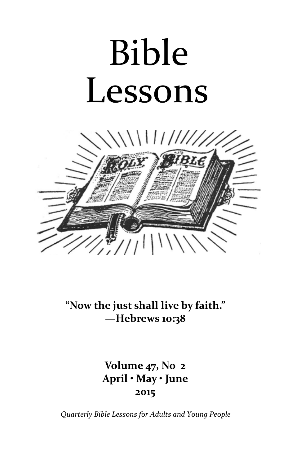# Bible Lessons



"Now the just shall live by faith." —Hebrews 10:38

> Volume 47, No 2 April • May • June 2015

Quarterly Bible Lessons for Adults and Young People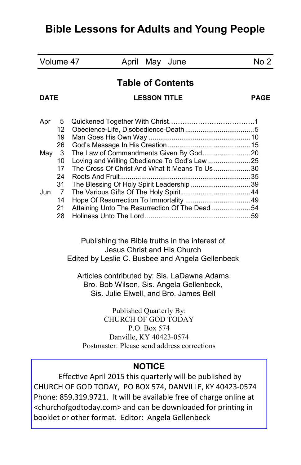# Bible Lessons for Adults and Young People

| Volume 47                                                |                | April<br>May June                                                                                                                                                                                                                                                       | No <sub>2</sub> |
|----------------------------------------------------------|----------------|-------------------------------------------------------------------------------------------------------------------------------------------------------------------------------------------------------------------------------------------------------------------------|-----------------|
|                                                          |                | <b>Table of Contents</b>                                                                                                                                                                                                                                                |                 |
| <b>DATE</b>                                              |                | <b>LESSON TITLE</b>                                                                                                                                                                                                                                                     | <b>PAGE</b>     |
| Apr                                                      | 5              |                                                                                                                                                                                                                                                                         |                 |
|                                                          | 12<br>19       |                                                                                                                                                                                                                                                                         |                 |
|                                                          | 26             |                                                                                                                                                                                                                                                                         |                 |
| May                                                      | 3              |                                                                                                                                                                                                                                                                         |                 |
|                                                          | 10             | Loving and Willing Obedience To God's Law 25                                                                                                                                                                                                                            |                 |
|                                                          | 17<br>24       | The Cross Of Christ And What It Means To Us30                                                                                                                                                                                                                           |                 |
|                                                          | 31             | The Blessing Of Holy Spirit Leadership 39                                                                                                                                                                                                                               |                 |
| Jun                                                      | $\overline{7}$ |                                                                                                                                                                                                                                                                         |                 |
|                                                          | 14             |                                                                                                                                                                                                                                                                         |                 |
|                                                          | 21<br>28       | Attaining Unto The Resurrection Of The Dead 54                                                                                                                                                                                                                          |                 |
|                                                          |                | Publishing the Bible truths in the interest of<br>Jesus Christ and His Church<br>Edited by Leslie C. Busbee and Angela Gellenbeck<br>Articles contributed by: Sis. LaDawna Adams,<br>Bro. Bob Wilson, Sis. Angela Gellenbeck,<br>Sis. Julie Elwell, and Bro. James Bell |                 |
|                                                          |                | Published Quarterly By:<br><b>CHURCH OF GOD TODAY</b>                                                                                                                                                                                                                   |                 |
|                                                          |                | P.O. Box 574                                                                                                                                                                                                                                                            |                 |
|                                                          |                | Danville, KY 40423-0574                                                                                                                                                                                                                                                 |                 |
|                                                          |                | Postmaster: Please send address corrections                                                                                                                                                                                                                             |                 |
|                                                          |                | <b>NOTICE</b>                                                                                                                                                                                                                                                           |                 |
| Effective April 2015 this quarterly will be published by |                |                                                                                                                                                                                                                                                                         |                 |
| CHURCH OF GOD TODAY, PO BOX 574, DANVILLE, KY 40423-0574 |                |                                                                                                                                                                                                                                                                         |                 |
|                                                          |                | Phone: 859.319.9721. It will be available free of charge online at                                                                                                                                                                                                      |                 |
|                                                          |                | <churchofgodtoday.com> and can be downloaded for printing in</churchofgodtoday.com>                                                                                                                                                                                     |                 |
|                                                          |                | booklet or other format. Editor: Angela Gellenbeck                                                                                                                                                                                                                      |                 |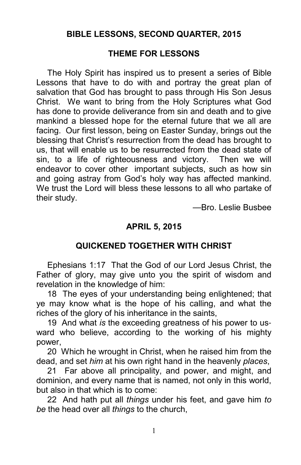#### BIBLE LESSONS, SECOND QUARTER, 2015

#### THEME FOR LESSONS

The Holy Spirit has inspired us to present a series of Bible Lessons that have to do with and portray the great plan of salvation that God has brought to pass through His Son Jesus Christ. We want to bring from the Holy Scriptures what God has done to provide deliverance from sin and death and to give mankind a blessed hope for the eternal future that we all are facing. Our first lesson, being on Easter Sunday, brings out the blessing that Christ's resurrection from the dead has brought to us, that will enable us to be resurrected from the dead state of sin, to a life of righteousness and victory. Then we will endeavor to cover other important subjects, such as how sin and going astray from God's holy way has affected mankind. We trust the Lord will bless these lessons to all who partake of their study.

—Bro. Leslie Busbee

#### APRIL 5, 2015

#### QUICKENED TOGETHER WITH CHRIST

Ephesians 1:17 That the God of our Lord Jesus Christ, the Father of glory, may give unto you the spirit of wisdom and revelation in the knowledge of him:

18 The eyes of your understanding being enlightened; that ye may know what is the hope of his calling, and what the riches of the glory of his inheritance in the saints,

19 And what is the exceeding greatness of his power to usward who believe, according to the working of his mighty power,

20 Which he wrought in Christ, when he raised him from the dead, and set him at his own right hand in the heavenly places,

21 Far above all principality, and power, and might, and dominion, and every name that is named, not only in this world, but also in that which is to come:

22 And hath put all *things* under his feet, and gave him to be the head over all things to the church,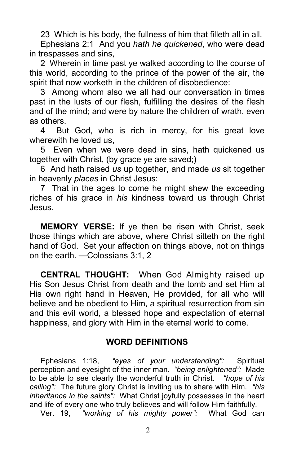23 Which is his body, the fullness of him that filleth all in all.

Ephesians 2:1 And you hath he quickened, who were dead in trespasses and sins,

2 Wherein in time past ye walked according to the course of this world, according to the prince of the power of the air, the spirit that now worketh in the children of disobedience:

3 Among whom also we all had our conversation in times past in the lusts of our flesh, fulfilling the desires of the flesh and of the mind; and were by nature the children of wrath, even as others.

4 But God, who is rich in mercy, for his great love wherewith he loved us,

5 Even when we were dead in sins, hath quickened us together with Christ, (by grace ye are saved;)

6 And hath raised us up together, and made us sit together in heavenly places in Christ Jesus:

7 That in the ages to come he might shew the exceeding riches of his grace in his kindness toward us through Christ Jesus.

MEMORY VERSE: If ye then be risen with Christ, seek those things which are above, where Christ sitteth on the right hand of God. Set your affection on things above, not on things on the earth. —Colossians 3:1, 2

CENTRAL THOUGHT: When God Almighty raised up His Son Jesus Christ from death and the tomb and set Him at His own right hand in Heaven, He provided, for all who will believe and be obedient to Him, a spiritual resurrection from sin and this evil world, a blessed hope and expectation of eternal happiness, and glory with Him in the eternal world to come.

#### WORD DEFINITIONS

Ephesians 1:18, "eyes of your understanding": Spiritual perception and eyesight of the inner man. "being enlightened": Made to be able to see clearly the wonderful truth in Christ. "hope of his calling": The future glory Christ is inviting us to share with Him. "his inheritance in the saints": What Christ joyfully possesses in the heart and life of every one who truly believes and will follow Him faithfully.

Ver. 19, "working of his mighty power": What God can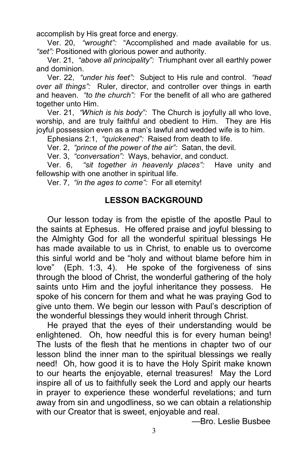accomplish by His great force and energy.

Ver. 20, "wrought": "Accomplished and made available for us. "set": Positioned with glorious power and authority.

Ver. 21, "above all principality": Triumphant over all earthly power and dominion.

Ver. 22, "under his feet": Subject to His rule and control. "head over all things": Ruler, director, and controller over things in earth and heaven. "to the church": For the benefit of all who are gathered together unto Him.

Ver. 21, "Which is his body": The Church is joyfully all who love, worship, and are truly faithful and obedient to Him. They are His joyful possession even as a man's lawful and wedded wife is to him.

Ephesians 2:1, "quickened": Raised from death to life.

Ver. 2, "prince of the power of the air": Satan, the devil.

Ver. 3, "conversation": Ways, behavior, and conduct.

Ver. 6, "sit together in heavenly places": Have unity and fellowship with one another in spiritual life.

Ver. 7, "in the ages to come": For all eternity!

#### LESSON BACKGROUND

Our lesson today is from the epistle of the apostle Paul to the saints at Ephesus. He offered praise and joyful blessing to the Almighty God for all the wonderful spiritual blessings He has made available to us in Christ, to enable us to overcome this sinful world and be "holy and without blame before him in love" (Eph. 1:3, 4). He spoke of the forgiveness of sins through the blood of Christ, the wonderful gathering of the holy saints unto Him and the joyful inheritance they possess. He spoke of his concern for them and what he was praying God to give unto them. We begin our lesson with Paul's description of the wonderful blessings they would inherit through Christ.

He prayed that the eyes of their understanding would be enlightened. Oh, how needful this is for every human being! The lusts of the flesh that he mentions in chapter two of our lesson blind the inner man to the spiritual blessings we really need! Oh, how good it is to have the Holy Spirit make known to our hearts the enjoyable, eternal treasures! May the Lord inspire all of us to faithfully seek the Lord and apply our hearts in prayer to experience these wonderful revelations; and turn away from sin and ungodliness, so we can obtain a relationship with our Creator that is sweet, enjoyable and real.

—Bro. Leslie Busbee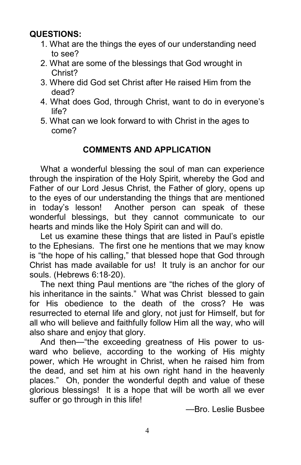# QUESTIONS:

- 1. What are the things the eyes of our understanding need to see?
- 2. What are some of the blessings that God wrought in Christ?
- 3. Where did God set Christ after He raised Him from the dead?
- 4. What does God, through Christ, want to do in everyone's life?
- 5. What can we look forward to with Christ in the ages to come?

# COMMENTS AND APPLICATION

What a wonderful blessing the soul of man can experience through the inspiration of the Holy Spirit, whereby the God and Father of our Lord Jesus Christ, the Father of glory, opens up to the eyes of our understanding the things that are mentioned in today's lesson! Another person can speak of these wonderful blessings, but they cannot communicate to our hearts and minds like the Holy Spirit can and will do.

Let us examine these things that are listed in Paul's epistle to the Ephesians. The first one he mentions that we may know is "the hope of his calling," that blessed hope that God through Christ has made available for us! It truly is an anchor for our souls. (Hebrews 6:18-20).

The next thing Paul mentions are "the riches of the glory of his inheritance in the saints." What was Christ blessed to gain for His obedience to the death of the cross? He was resurrected to eternal life and glory, not just for Himself, but for all who will believe and faithfully follow Him all the way, who will also share and enjoy that glory.

And then—"the exceeding greatness of His power to usward who believe, according to the working of His mighty power, which He wrought in Christ, when he raised him from the dead, and set him at his own right hand in the heavenly places." Oh, ponder the wonderful depth and value of these glorious blessings! It is a hope that will be worth all we ever suffer or go through in this life!

—Bro. Leslie Busbee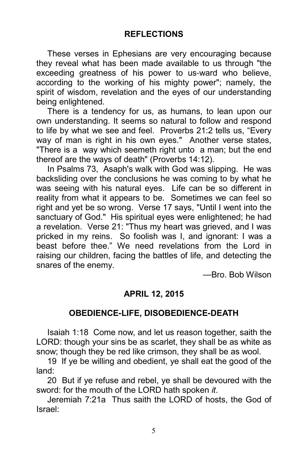These verses in Ephesians are very encouraging because they reveal what has been made available to us through "the exceeding greatness of his power to us-ward who believe, according to the working of his mighty power"; namely, the spirit of wisdom, revelation and the eyes of our understanding being enlightened.

There is a tendency for us, as humans, to lean upon our own understanding. It seems so natural to follow and respond to life by what we see and feel. Proverbs 21:2 tells us, "Every way of man is right in his own eyes." Another verse states, "There is a way which seemeth right unto a man; but the end thereof are the ways of death" (Proverbs 14:12).

In Psalms 73, Asaph's walk with God was slipping. He was backsliding over the conclusions he was coming to by what he was seeing with his natural eyes. Life can be so different in reality from what it appears to be. Sometimes we can feel so right and yet be so wrong. Verse 17 says, "Until I went into the sanctuary of God." His spiritual eyes were enlightened; he had a revelation. Verse 21: "Thus my heart was grieved, and I was pricked in my reins. So foolish was I, and ignorant: I was a beast before thee." We need revelations from the Lord in raising our children, facing the battles of life, and detecting the snares of the enemy.

—Bro. Bob Wilson

## APRIL 12, 2015

# OBEDIENCE**-**LIFE, DISOBEDIENCE**-**DEATH

Isaiah 1:18 Come now, and let us reason together, saith the LORD: though your sins be as scarlet, they shall be as white as snow; though they be red like crimson, they shall be as wool.

19 If ye be willing and obedient, ye shall eat the good of the land:

20 But if ye refuse and rebel, ye shall be devoured with the sword: for the mouth of the LORD hath spoken it.

Jeremiah 7:21a Thus saith the LORD of hosts, the God of Israel: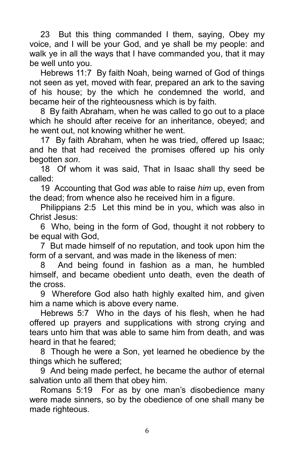23 But this thing commanded I them, saying, Obey my voice, and I will be your God, and ye shall be my people: and walk ye in all the ways that I have commanded you, that it may be well unto you.

Hebrews 11:7 By faith Noah, being warned of God of things not seen as yet, moved with fear, prepared an ark to the saving of his house; by the which he condemned the world, and became heir of the righteousness which is by faith.

8 By faith Abraham, when he was called to go out to a place which he should after receive for an inheritance, obeyed; and he went out, not knowing whither he went.

17 By faith Abraham, when he was tried, offered up Isaac; and he that had received the promises offered up his only begotten son.

18 Of whom it was said, That in Isaac shall thy seed be called:

19 Accounting that God was able to raise him up, even from the dead; from whence also he received him in a figure.

Philippians 2:5 Let this mind be in you, which was also in Christ Jesus:

6 Who, being in the form of God, thought it not robbery to be equal with God,

7 But made himself of no reputation, and took upon him the form of a servant, and was made in the likeness of men:

8 And being found in fashion as a man, he humbled himself, and became obedient unto death, even the death of the cross.

9 Wherefore God also hath highly exalted him, and given him a name which is above every name.

Hebrews 5:7 Who in the days of his flesh, when he had offered up prayers and supplications with strong crying and tears unto him that was able to same him from death, and was heard in that he feared;

8 Though he were a Son, yet learned he obedience by the things which he suffered;

9 And being made perfect, he became the author of eternal salvation unto all them that obey him.

Romans 5:19 For as by one man's disobedience many were made sinners, so by the obedience of one shall many be made righteous.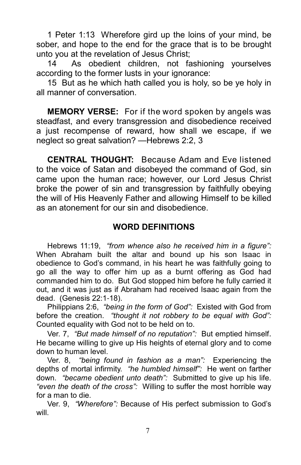1 Peter 1:13 Wherefore gird up the loins of your mind, be sober, and hope to the end for the grace that is to be brought unto you at the revelation of Jesus Christ;

14 As obedient children, not fashioning yourselves according to the former lusts in your ignorance:

15 But as he which hath called you is holy, so be ye holy in all manner of conversation.

**MEMORY VERSE:** For if the word spoken by angels was steadfast, and every transgression and disobedience received a just recompense of reward, how shall we escape, if we neglect so great salvation? —Hebrews 2:2, 3

CENTRAL THOUGHT: Because Adam and Eve listened to the voice of Satan and disobeyed the command of God, sin came upon the human race; however, our Lord Jesus Christ broke the power of sin and transgression by faithfully obeying the will of His Heavenly Father and allowing Himself to be killed as an atonement for our sin and disobedience.

#### WORD DEFINITIONS

Hebrews 11:19. "from whence also he received him in a figure": When Abraham built the altar and bound up his son Isaac in obedience to God's command, in his heart he was faithfully going to go all the way to offer him up as a burnt offering as God had commanded him to do. But God stopped him before he fully carried it out, and it was just as if Abraham had received Isaac again from the dead. (Genesis 22:1-18).

Philippians 2:6, "being in the form of God": Existed with God from before the creation. "thought it not robbery to be equal with God": Counted equality with God not to be held on to.

Ver. 7, "But made himself of no reputation": But emptied himself. He became willing to give up His heights of eternal glory and to come down to human level.

Ver. 8, "being found in fashion as a man": Experiencing the depths of mortal infirmity. "he humbled himself": He went on farther down. "became obedient unto death": Submitted to give up his life. "even the death of the cross": Willing to suffer the most horrible way for a man to die.

Ver. 9, "Wherefore": Because of His perfect submission to God's will.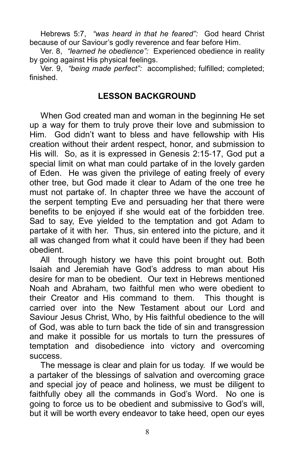Hebrews 5:7, "was heard in that he feared": God heard Christ because of our Saviour's godly reverence and fear before Him.

Ver. 8, "learned he obedience": Experienced obedience in reality by going against His physical feelings.

Ver. 9, "being made perfect": accomplished; fulfilled; completed; finished.

#### LESSON BACKGROUND

When God created man and woman in the beginning He set up a way for them to truly prove their love and submission to Him. God didn't want to bless and have fellowship with His creation without their ardent respect, honor, and submission to His will. So, as it is expressed in Genesis 2:15-17, God put a special limit on what man could partake of in the lovely garden of Eden. He was given the privilege of eating freely of every other tree, but God made it clear to Adam of the one tree he must not partake of. In chapter three we have the account of the serpent tempting Eve and persuading her that there were benefits to be enjoyed if she would eat of the forbidden tree. Sad to say, Eve yielded to the temptation and got Adam to partake of it with her. Thus, sin entered into the picture, and it all was changed from what it could have been if they had been obedient.

All through history we have this point brought out. Both Isaiah and Jeremiah have God's address to man about His desire for man to be obedient. Our text in Hebrews mentioned Noah and Abraham, two faithful men who were obedient to their Creator and His command to them. This thought is carried over into the New Testament about our Lord and Saviour Jesus Christ, Who, by His faithful obedience to the will of God, was able to turn back the tide of sin and transgression and make it possible for us mortals to turn the pressures of temptation and disobedience into victory and overcoming success.

The message is clear and plain for us today. If we would be a partaker of the blessings of salvation and overcoming grace and special joy of peace and holiness, we must be diligent to faithfully obey all the commands in God's Word. No one is going to force us to be obedient and submissive to God's will, but it will be worth every endeavor to take heed, open our eyes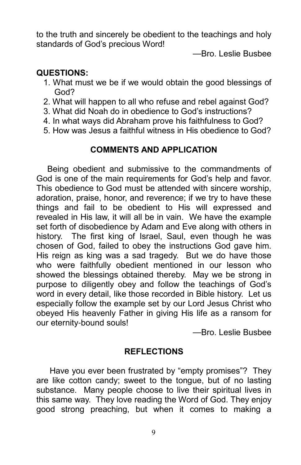to the truth and sincerely be obedient to the teachings and holy standards of God's precious Word!

—Bro. Leslie Busbee

#### QUESTIONS:

- 1. What must we be if we would obtain the good blessings of God?
- 2. What will happen to all who refuse and rebel against God?
- 3. What did Noah do in obedience to God's instructions?
- 4. In what ways did Abraham prove his faithfulness to God?
- 5. How was Jesus a faithful witness in His obedience to God?

## COMMENTS AND APPLICATION

Being obedient and submissive to the commandments of God is one of the main requirements for God's help and favor. This obedience to God must be attended with sincere worship, adoration, praise, honor, and reverence; if we try to have these things and fail to be obedient to His will expressed and revealed in His law, it will all be in vain. We have the example set forth of disobedience by Adam and Eve along with others in history. The first king of Israel, Saul, even though he was chosen of God, failed to obey the instructions God gave him. His reign as king was a sad tragedy. But we do have those who were faithfully obedient mentioned in our lesson who showed the blessings obtained thereby. May we be strong in purpose to diligently obey and follow the teachings of God's word in every detail, like those recorded in Bible history. Let us especially follow the example set by our Lord Jesus Christ who obeyed His heavenly Father in giving His life as a ransom for our eternity-bound souls!

—Bro. Leslie Busbee

#### **REFLECTIONS**

 Have you ever been frustrated by "empty promises"? They are like cotton candy; sweet to the tongue, but of no lasting substance. Many people choose to live their spiritual lives in this same way. They love reading the Word of God. They enjoy good strong preaching, but when it comes to making a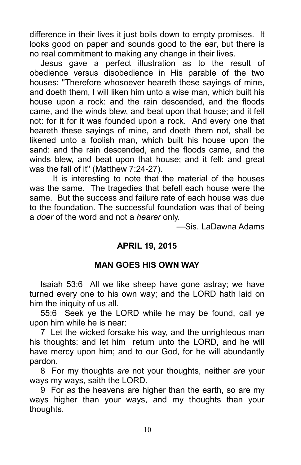difference in their lives it just boils down to empty promises. It looks good on paper and sounds good to the ear, but there is no real commitment to making any change in their lives.

Jesus gave a perfect illustration as to the result of obedience versus disobedience in His parable of the two houses: "Therefore whosoever heareth these sayings of mine, and doeth them, I will liken him unto a wise man, which built his house upon a rock: and the rain descended, and the floods came, and the winds blew, and beat upon that house; and it fell not: for it for it was founded upon a rock. And every one that heareth these sayings of mine, and doeth them not, shall be likened unto a foolish man, which built his house upon the sand: and the rain descended, and the floods came, and the winds blew, and beat upon that house; and it fell: and great was the fall of it" (Matthew 7:24-27).

 It is interesting to note that the material of the houses was the same. The tragedies that befell each house were the same. But the success and failure rate of each house was due to the foundation. The successful foundation was that of being a doer of the word and not a hearer only.

—Sis. LaDawna Adams

## APRIL 19, 2015

## MAN GOES HIS OWN WAY

Isaiah 53:6 All we like sheep have gone astray; we have turned every one to his own way; and the LORD hath laid on him the iniquity of us all.

55:6 Seek ye the LORD while he may be found, call ye upon him while he is near:

7 Let the wicked forsake his way, and the unrighteous man his thoughts: and let him return unto the LORD, and he will have mercy upon him; and to our God, for he will abundantly pardon.

8 For my thoughts are not your thoughts, neither are your ways my ways, saith the LORD.

9 For as the heavens are higher than the earth, so are my ways higher than your ways, and my thoughts than your thoughts.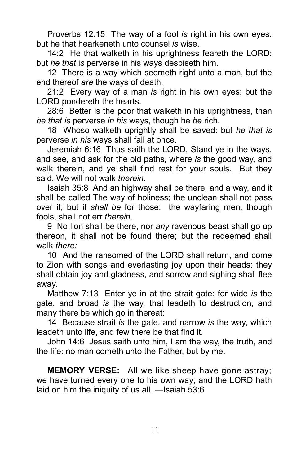Proverbs 12:15 The way of a fool is right in his own eyes: but he that hearkeneth unto counsel is wise.

14:2 He that walketh in his uprightness feareth the LORD: but he that is perverse in his ways despiseth him.

12 There is a way which seemeth right unto a man, but the end thereof are the ways of death.

21:2 Every way of a man is right in his own eyes: but the LORD pondereth the hearts.

28:6 Better is the poor that walketh in his uprightness, than he that is perverse in his ways, though he be rich.

18 Whoso walketh uprightly shall be saved: but he that is perverse in his ways shall fall at once.

Jeremiah 6:16 Thus saith the LORD, Stand ye in the ways, and see, and ask for the old paths, where is the good way, and walk therein, and ye shall find rest for your souls. But they said. We will not walk therein.

Isaiah 35:8 And an highway shall be there, and a way, and it shall be called The way of holiness; the unclean shall not pass over it; but it shall be for those: the wayfaring men, though fools, shall not err therein.

9 No lion shall be there, nor any ravenous beast shall go up thereon, it shall not be found there; but the redeemed shall walk there:

10 And the ransomed of the LORD shall return, and come to Zion with songs and everlasting joy upon their heads: they shall obtain joy and gladness, and sorrow and sighing shall flee away.

Matthew 7:13 Enter ye in at the strait gate: for wide is the gate, and broad is the way, that leadeth to destruction, and many there be which go in thereat:

14 Because strait is the gate, and narrow is the way, which leadeth unto life, and few there be that find it.

John 14:6 Jesus saith unto him, I am the way, the truth, and the life: no man cometh unto the Father, but by me.

**MEMORY VERSE:** All we like sheep have gone astray; we have turned every one to his own way; and the LORD hath laid on him the iniquity of us all. —Isaiah 53:6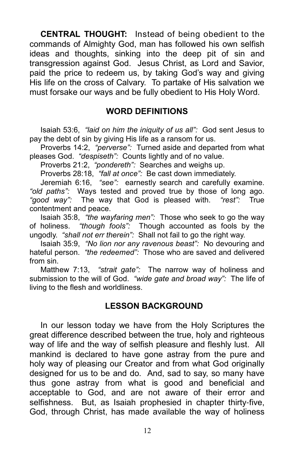CENTRAL THOUGHT: Instead of being obedient to the commands of Almighty God, man has followed his own selfish ideas and thoughts, sinking into the deep pit of sin and transgression against God. Jesus Christ, as Lord and Savior, paid the price to redeem us, by taking God's way and giving His life on the cross of Calvary. To partake of His salvation we must forsake our ways and be fully obedient to His Holy Word.

#### WORD DEFINITIONS

Isaiah 53:6, "laid on him the iniquity of us all": God sent Jesus to pay the debt of sin by giving His life as a ransom for us.

Proverbs 14:2, "perverse": Turned aside and departed from what pleases God. "despiseth": Counts lightly and of no value.

Proverbs 21:2, "pondereth": Searches and weighs up.

Proverbs 28:18, "fall at once": Be cast down immediately.

Jeremiah 6:16, "see": earnestly search and carefully examine. "old paths": Ways tested and proved true by those of long ago. "good way": The way that God is pleased with. "rest": True contentment and peace.

Isaiah 35:8, "the wayfaring men": Those who seek to go the way of holiness. "though fools": Though accounted as fools by the ungodly. "shall not err therein": Shall not fail to go the right way.

Isaiah 35:9, "No lion nor any ravenous beast": No devouring and hateful person. "the redeemed": Those who are saved and delivered from sin.

Matthew 7:13, "strait gate": The narrow way of holiness and submission to the will of God. "wide gate and broad way": The life of living to the flesh and worldliness.

#### LESSON BACKGROUND

In our lesson today we have from the Holy Scriptures the great difference described between the true, holy and righteous way of life and the way of selfish pleasure and fleshly lust. All mankind is declared to have gone astray from the pure and holy way of pleasing our Creator and from what God originally designed for us to be and do. And, sad to say, so many have thus gone astray from what is good and beneficial and acceptable to God, and are not aware of their error and selfishness. But, as Isaiah prophesied in chapter thirty-five, God, through Christ, has made available the way of holiness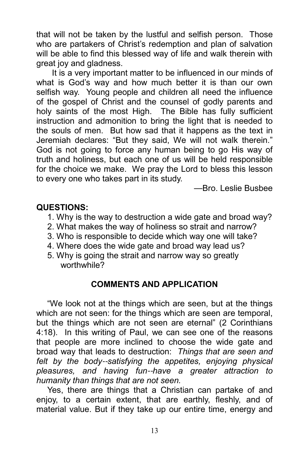that will not be taken by the lustful and selfish person. Those who are partakers of Christ's redemption and plan of salvation will be able to find this blessed way of life and walk therein with great joy and gladness.

 It is a very important matter to be influenced in our minds of what is God's way and how much better it is than our own selfish way. Young people and children all need the influence of the gospel of Christ and the counsel of godly parents and holy saints of the most High. The Bible has fully sufficient instruction and admonition to bring the light that is needed to the souls of men. But how sad that it happens as the text in Jeremiah declares: "But they said, We will not walk therein." God is not going to force any human being to go His way of truth and holiness, but each one of us will be held responsible for the choice we make. We pray the Lord to bless this lesson to every one who takes part in its study.

—Bro. Leslie Busbee

#### QUESTIONS:

- 1. Why is the way to destruction a wide gate and broad way?
- 2. What makes the way of holiness so strait and narrow?
- 3. Who is responsible to decide which way one will take?
- 4. Where does the wide gate and broad way lead us?
- 5. Why is going the strait and narrow way so greatly worthwhile?

# COMMENTS AND APPLICATION

"We look not at the things which are seen, but at the things which are not seen: for the things which are seen are temporal, but the things which are not seen are eternal" (2 Corinthians 4:18). In this writing of Paul, we can see one of the reasons that people are more inclined to choose the wide gate and broad way that leads to destruction: Things that are seen and felt by the body--satisfying the appetites, enjoying physical pleasures, and having fun--have a greater attraction to humanity than things that are not seen.

Yes, there are things that a Christian can partake of and enjoy, to a certain extent, that are earthly, fleshly, and of material value. But if they take up our entire time, energy and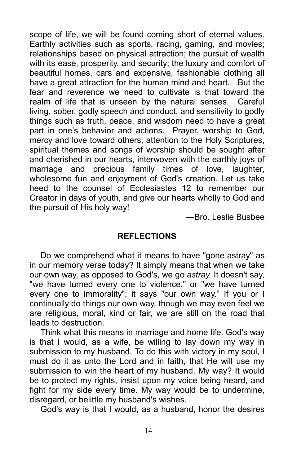scope of life, we will be found coming short of eternal values. Earthly activities such as sports, racing, gaming, and movies; relationships based on physical attraction; the pursuit of wealth with its ease, prosperity, and security; the luxury and comfort of beautiful homes, cars and expensive, fashionable clothing all have a great attraction for the human mind and heart. But the fear and reverence we need to cultivate is that toward the realm of life that is unseen by the natural senses. Careful living, sober, godly speech and conduct, and sensitivity to godly things such as truth, peace, and wisdom need to have a great part in one's behavior and actions. Prayer, worship to God, mercy and love toward others, attention to the Holy Scriptures, spiritual themes and songs of worship should be sought after and cherished in our hearts, interwoven with the earthly joys of marriage and precious family times of love, laughter, wholesome fun and enjoyment of God's creation. Let us take heed to the counsel of Ecclesiastes 12 to remember our Creator in days of youth, and give our hearts wholly to God and the pursuit of His holy way!

—Bro. Leslie Busbee

#### **REFLECTIONS**

Do we comprehend what it means to have "gone astray" as in our memory verse today? It simply means that when we take our own way, as opposed to God's, we go astray. It doesn't say, "we have turned every one to violence," or "we have turned every one to immorality"; it says "our own way." If you or I continually do things our own way, though we may even feel we are religious, moral, kind or fair, we are still on the road that leads to destruction.

Think what this means in marriage and home life. God's way is that I would, as a wife, be willing to lay down my way in submission to my husband. To do this with victory in my soul, I must do it as unto the Lord and in faith, that He will use my submission to win the heart of my husband. My way? It would be to protect my rights, insist upon my voice being heard, and fight for my side every time. My way would be to undermine, disregard, or belittle my husband's wishes.

God's way is that I would, as a husband, honor the desires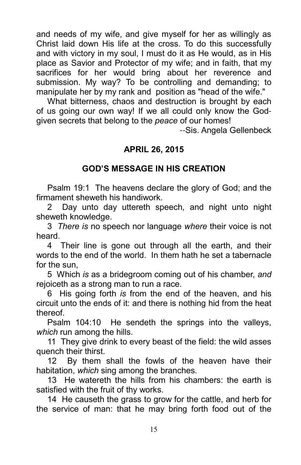and needs of my wife, and give myself for her as willingly as Christ laid down His life at the cross. To do this successfully and with victory in my soul, I must do it as He would, as in His place as Savior and Protector of my wife; and in faith, that my sacrifices for her would bring about her reverence and submission. My way? To be controlling and demanding; to manipulate her by my rank and position as "head of the wife."

What bitterness, chaos and destruction is brought by each of us going our own way! If we all could only know the Godgiven secrets that belong to the peace of our homes!

--Sis. Angela Gellenbeck

#### APRIL 26, 2015

# GOD'S MESSAGE IN HIS CREATION

Psalm 19:1 The heavens declare the glory of God; and the firmament sheweth his handiwork.

2 Day unto day uttereth speech, and night unto night sheweth knowledge.

3 There is no speech nor language where their voice is not heard.

4 Their line is gone out through all the earth, and their words to the end of the world. In them hath he set a tabernacle for the sun,

5 Which is as a bridegroom coming out of his chamber, and rejoiceth as a strong man to run a race.

6 His going forth is from the end of the heaven, and his circuit unto the ends of it: and there is nothing hid from the heat thereof.

Psalm 104:10 He sendeth the springs into the valleys, which run among the hills.

11 They give drink to every beast of the field: the wild asses quench their thirst.

12 By them shall the fowls of the heaven have their habitation, which sing among the branches.

13 He watereth the hills from his chambers: the earth is satisfied with the fruit of thy works.

14 He causeth the grass to grow for the cattle, and herb for the service of man: that he may bring forth food out of the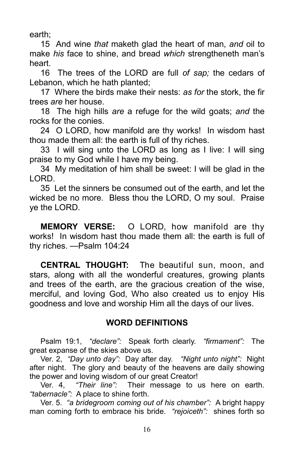earth;

15 And wine that maketh glad the heart of man, and oil to make his face to shine, and bread which strengtheneth man's heart.

16 The trees of the LORD are full of sap; the cedars of Lebanon, which he hath planted;

17 Where the birds make their nests: as for the stork, the fir trees are her house.

18 The high hills are a refuge for the wild goats; and the rocks for the conies.

24 O LORD, how manifold are thy works! In wisdom hast thou made them all: the earth is full of thy riches.

33 I will sing unto the LORD as long as I live: I will sing praise to my God while I have my being.

34 My meditation of him shall be sweet: I will be glad in the LORD.

35 Let the sinners be consumed out of the earth, and let the wicked be no more. Bless thou the LORD, O my soul. Praise ye the LORD.

MEMORY VERSE: O LORD, how manifold are thy works! In wisdom hast thou made them all: the earth is full of thy riches. —Psalm 104:24

CENTRAL THOUGHT: The beautiful sun, moon, and stars, along with all the wonderful creatures, growing plants and trees of the earth, are the gracious creation of the wise, merciful, and loving God, Who also created us to enjoy His goodness and love and worship Him all the days of our lives.

## WORD DEFINITIONS

Psalm 19:1, "declare": Speak forth clearly. "firmament": The great expanse of the skies above us.

Ver. 2, "Day unto day": Day after day. "Night unto night": Night after night. The glory and beauty of the heavens are daily showing the power and loving wisdom of our great Creator!<br>Ver. 4. "Their line": Their message to u

"Their line": Their message to us here on earth. "tabernacle": A place to shine forth.

Ver. 5. "a bridegroom coming out of his chamber": A bright happy man coming forth to embrace his bride. "rejoiceth": shines forth so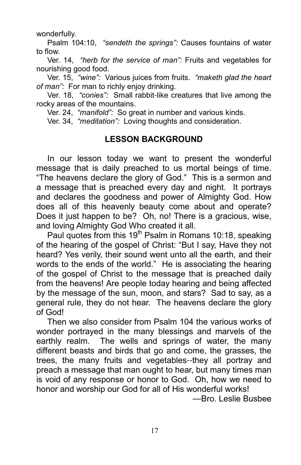wonderfully.

Psalm 104:10, "sendeth the springs": Causes fountains of water to flow.

Ver. 14, "herb for the service of man": Fruits and vegetables for nourishing good food.

Ver. 15. "wine": Various juices from fruits. "maketh glad the heart of man": For man to richly enjoy drinking.

Ver. 18, "conies": Small rabbit-like creatures that live among the rocky areas of the mountains.

Ver. 24, "manifold": So great in number and various kinds.

Ver. 34, "meditation": Loving thoughts and consideration.

#### LESSON BACKGROUND

In our lesson today we want to present the wonderful message that is daily preached to us mortal beings of time. "The heavens declare the glory of God." This is a sermon and a message that is preached every day and night. It portrays and declares the goodness and power of Almighty God. How does all of this heavenly beauty come about and operate? Does it just happen to be? Oh, no! There is a gracious, wise, and loving Almighty God Who created it all.

Paul quotes from this 19<sup>th</sup> Psalm in Romans 10:18, speaking of the hearing of the gospel of Christ: "But I say, Have they not heard? Yes verily, their sound went unto all the earth, and their words to the ends of the world." He is associating the hearing of the gospel of Christ to the message that is preached daily from the heavens! Are people today hearing and being affected by the message of the sun, moon, and stars? Sad to say, as a general rule, they do not hear. The heavens declare the glory of God!

Then we also consider from Psalm 104 the various works of wonder portrayed in the many blessings and marvels of the earthly realm. The wells and springs of water, the many different beasts and birds that go and come, the grasses, the trees, the many fruits and vegetables--they all portray and preach a message that man ought to hear, but many times man is void of any response or honor to God. Oh, how we need to honor and worship our God for all of His wonderful works! —Bro. Leslie Busbee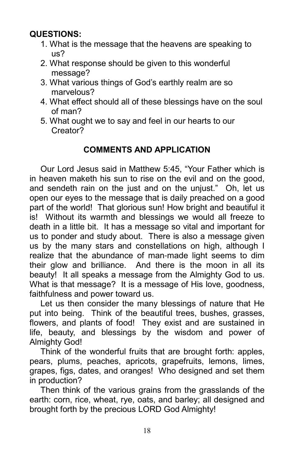# QUESTIONS:

- 1. What is the message that the heavens are speaking to us?
- 2. What response should be given to this wonderful message?
- 3. What various things of God's earthly realm are so marvelous?
- 4. What effect should all of these blessings have on the soul of man?
- 5. What ought we to say and feel in our hearts to our Creator?

# COMMENTS AND APPLICATION

Our Lord Jesus said in Matthew 5:45, "Your Father which is in heaven maketh his sun to rise on the evil and on the good, and sendeth rain on the just and on the unjust." Oh, let us open our eyes to the message that is daily preached on a good part of the world! That glorious sun! How bright and beautiful it is! Without its warmth and blessings we would all freeze to death in a little bit. It has a message so vital and important for us to ponder and study about. There is also a message given us by the many stars and constellations on high, although I realize that the abundance of man-made light seems to dim their glow and brilliance. And there is the moon in all its beauty! It all speaks a message from the Almighty God to us. What is that message? It is a message of His love, goodness, faithfulness and power toward us.

Let us then consider the many blessings of nature that He put into being. Think of the beautiful trees, bushes, grasses, flowers, and plants of food! They exist and are sustained in life, beauty, and blessings by the wisdom and power of Almighty God!

Think of the wonderful fruits that are brought forth: apples, pears, plums, peaches, apricots, grapefruits, lemons, limes, grapes, figs, dates, and oranges! Who designed and set them in production?

Then think of the various grains from the grasslands of the earth: corn, rice, wheat, rye, oats, and barley; all designed and brought forth by the precious LORD God Almighty!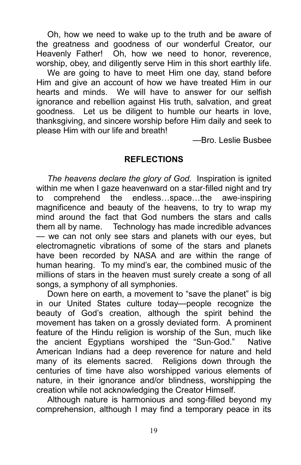Oh, how we need to wake up to the truth and be aware of the greatness and goodness of our wonderful Creator, our Heavenly Father! Oh, how we need to honor, reverence, worship, obey, and diligently serve Him in this short earthly life.

We are going to have to meet Him one day, stand before Him and give an account of how we have treated Him in our hearts and minds. We will have to answer for our selfish ignorance and rebellion against His truth, salvation, and great goodness. Let us be diligent to humble our hearts in love, thanksgiving, and sincere worship before Him daily and seek to please Him with our life and breath!

—Bro. Leslie Busbee

#### **REFLECTIONS**

The heavens declare the glory of God. Inspiration is ignited within me when I gaze heavenward on a star-filled night and try to comprehend the endless...space...the awe-inspiring magnificence and beauty of the heavens, to try to wrap my mind around the fact that God numbers the stars and calls them all by name. Technology has made incredible advances — we can not only see stars and planets with our eyes, but electromagnetic vibrations of some of the stars and planets have been recorded by NASA and are within the range of human hearing. To my mind's ear, the combined music of the millions of stars in the heaven must surely create a song of all songs, a symphony of all symphonies.

Down here on earth, a movement to "save the planet" is big in our United States culture today—people recognize the beauty of God's creation, although the spirit behind the movement has taken on a grossly deviated form. A prominent feature of the Hindu religion is worship of the Sun, much like the ancient Egyptians worshiped the "Sun-God." Native American Indians had a deep reverence for nature and held many of its elements sacred. Religions down through the centuries of time have also worshipped various elements of nature, in their ignorance and/or blindness, worshipping the creation while not acknowledging the Creator Himself.

Although nature is harmonious and song-filled beyond my comprehension, although I may find a temporary peace in its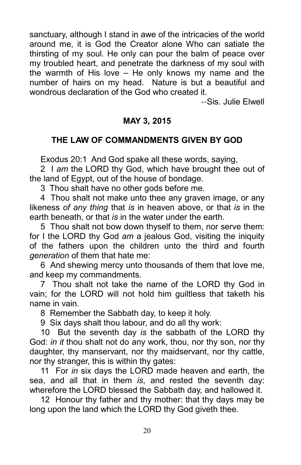sanctuary, although I stand in awe of the intricacies of the world around me, it is God the Creator alone Who can satiate the thirsting of my soul. He only can pour the balm of peace over my troubled heart, and penetrate the darkness of my soul with the warmth of His love – He only knows my name and the number of hairs on my head. Nature is but a beautiful and wondrous declaration of the God who created it.

--Sis. Julie Elwell

#### MAY 3, 2015

#### THE LAW OF COMMANDMENTS GIVEN BY GOD

Exodus 20:1 And God spake all these words, saying,

2 I am the LORD thy God, which have brought thee out of the land of Egypt, out of the house of bondage.

3 Thou shalt have no other gods before me.

4 Thou shalt not make unto thee any graven image, or any likeness of any thing that is in heaven above, or that is in the earth beneath, or that is in the water under the earth.

5 Thou shalt not bow down thyself to them, nor serve them: for I the LORD thy God am a jealous God, visiting the iniquity of the fathers upon the children unto the third and fourth generation of them that hate me:

6 And shewing mercy unto thousands of them that love me, and keep my commandments.

7 Thou shalt not take the name of the LORD thy God in vain; for the LORD will not hold him guiltless that taketh his name in vain.

8 Remember the Sabbath day, to keep it holy.

9 Six days shalt thou labour, and do all thy work:

10 But the seventh day is the sabbath of the LORD thy God: *in it* thou shalt not do any work, thou, nor thy son, nor thy daughter, thy manservant, nor thy maidservant, nor thy cattle, nor thy stranger, this is within thy gates:

11 For in six days the LORD made heaven and earth, the sea, and all that in them is, and rested the seventh day: wherefore the LORD blessed the Sabbath day, and hallowed it.

12 Honour thy father and thy mother: that thy days may be long upon the land which the LORD thy God giveth thee.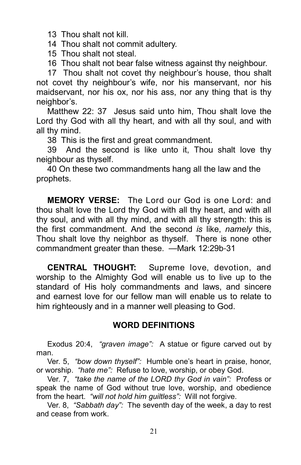13 Thou shalt not kill.

14 Thou shalt not commit adultery.

15 Thou shalt not steal.

16 Thou shalt not bear false witness against thy neighbour.

17 Thou shalt not covet thy neighbour's house, thou shalt not covet thy neighbour's wife, nor his manservant, nor his maidservant, nor his ox, nor his ass, nor any thing that is thy neighbor's.

Matthew 22: 37 Jesus said unto him, Thou shalt love the Lord thy God with all thy heart, and with all thy soul, and with all thy mind.

38 This is the first and great commandment.

39 And the second is like unto it, Thou shalt love thy neighbour as thyself.

40 On these two commandments hang all the law and the prophets.

MEMORY VERSE: The Lord our God is one Lord: and thou shalt love the Lord thy God with all thy heart, and with all thy soul, and with all thy mind, and with all thy strength: this is the first commandment. And the second is like, namely this, Thou shalt love thy neighbor as thyself. There is none other commandment greater than these. —Mark 12:29b-31

CENTRAL THOUGHT: Supreme love, devotion, and worship to the Almighty God will enable us to live up to the standard of His holy commandments and laws, and sincere and earnest love for our fellow man will enable us to relate to him righteously and in a manner well pleasing to God.

#### WORD DEFINITIONS

Exodus 20:4, "graven image": A statue or figure carved out by man.

Ver. 5, "bow down thyself": Humble one's heart in praise, honor, or worship. "hate me": Refuse to love, worship, or obey God.

Ver. 7, "take the name of the LORD thy God in vain": Profess or speak the name of God without true love, worship, and obedience from the heart. "will not hold him quiltless": Will not forgive.

Ver. 8, "Sabbath day": The seventh day of the week, a day to rest and cease from work.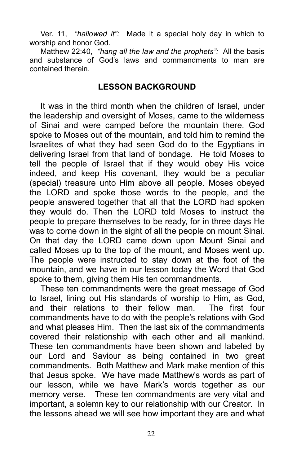Ver. 11, "hallowed it": Made it a special holy day in which to worship and honor God.

Matthew 22:40, "hang all the law and the prophets": All the basis and substance of God's laws and commandments to man are contained therein.

#### LESSON BACKGROUND

It was in the third month when the children of Israel, under the leadership and oversight of Moses, came to the wilderness of Sinai and were camped before the mountain there. God spoke to Moses out of the mountain, and told him to remind the Israelites of what they had seen God do to the Egyptians in delivering Israel from that land of bondage. He told Moses to tell the people of Israel that if they would obey His voice indeed, and keep His covenant, they would be a peculiar (special) treasure unto Him above all people. Moses obeyed the LORD and spoke those words to the people, and the people answered together that all that the LORD had spoken they would do. Then the LORD told Moses to instruct the people to prepare themselves to be ready, for in three days He was to come down in the sight of all the people on mount Sinai. On that day the LORD came down upon Mount Sinai and called Moses up to the top of the mount, and Moses went up. The people were instructed to stay down at the foot of the mountain, and we have in our lesson today the Word that God spoke to them, giving them His ten commandments.

These ten commandments were the great message of God to Israel, lining out His standards of worship to Him, as God, and their relations to their fellow man. The first four commandments have to do with the people's relations with God and what pleases Him. Then the last six of the commandments covered their relationship with each other and all mankind. These ten commandments have been shown and labeled by our Lord and Saviour as being contained in two great commandments. Both Matthew and Mark make mention of this that Jesus spoke. We have made Matthew's words as part of our lesson, while we have Mark's words together as our memory verse. These ten commandments are very vital and important, a solemn key to our relationship with our Creator. In the lessons ahead we will see how important they are and what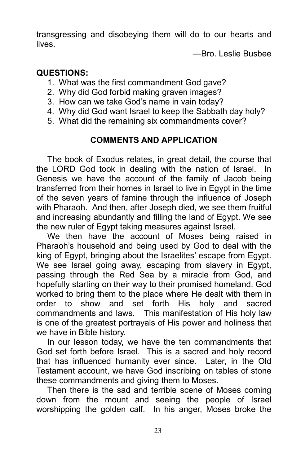transgressing and disobeying them will do to our hearts and lives.

—Bro. Leslie Busbee

#### QUESTIONS:

- 1. What was the first commandment God gave?
- 2. Why did God forbid making graven images?
- 3. How can we take God's name in vain today?
- 4. Why did God want Israel to keep the Sabbath day holy?
- 5. What did the remaining six commandments cover?

# COMMENTS AND APPLICATION

The book of Exodus relates, in great detail, the course that the LORD God took in dealing with the nation of Israel. In Genesis we have the account of the family of Jacob being transferred from their homes in Israel to live in Egypt in the time of the seven years of famine through the influence of Joseph with Pharaoh. And then, after Joseph died, we see them fruitful and increasing abundantly and filling the land of Egypt. We see the new ruler of Egypt taking measures against Israel.

We then have the account of Moses being raised in Pharaoh's household and being used by God to deal with the king of Egypt, bringing about the Israelites' escape from Egypt. We see Israel going away, escaping from slavery in Egypt, passing through the Red Sea by a miracle from God, and hopefully starting on their way to their promised homeland. God worked to bring them to the place where He dealt with them in order to show and set forth His holy and sacred commandments and laws. This manifestation of His holy law is one of the greatest portrayals of His power and holiness that we have in Bible history.

In our lesson today, we have the ten commandments that God set forth before Israel. This is a sacred and holy record that has influenced humanity ever since. Later, in the Old Testament account, we have God inscribing on tables of stone these commandments and giving them to Moses.

Then there is the sad and terrible scene of Moses coming down from the mount and seeing the people of Israel worshipping the golden calf. In his anger, Moses broke the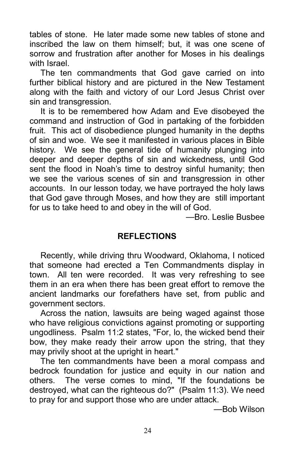tables of stone. He later made some new tables of stone and inscribed the law on them himself; but, it was one scene of sorrow and frustration after another for Moses in his dealings with Israel

The ten commandments that God gave carried on into further biblical history and are pictured in the New Testament along with the faith and victory of our Lord Jesus Christ over sin and transgression.

It is to be remembered how Adam and Eve disobeyed the command and instruction of God in partaking of the forbidden fruit. This act of disobedience plunged humanity in the depths of sin and woe. We see it manifested in various places in Bible history. We see the general tide of humanity plunging into deeper and deeper depths of sin and wickedness, until God sent the flood in Noah's time to destroy sinful humanity; then we see the various scenes of sin and transgression in other accounts. In our lesson today, we have portrayed the holy laws that God gave through Moses, and how they are still important for us to take heed to and obey in the will of God.

—Bro. Leslie Busbee

#### REFLECTIONS

Recently, while driving thru Woodward, Oklahoma, I noticed that someone had erected a Ten Commandments display in town. All ten were recorded. It was very refreshing to see them in an era when there has been great effort to remove the ancient landmarks our forefathers have set, from public and government sectors.

Across the nation, lawsuits are being waged against those who have religious convictions against promoting or supporting ungodliness. Psalm 11:2 states, "For, lo, the wicked bend their bow, they make ready their arrow upon the string, that they may privily shoot at the upright in heart."

The ten commandments have been a moral compass and bedrock foundation for justice and equity in our nation and others. The verse comes to mind, "If the foundations be destroyed, what can the righteous do?" (Psalm 11:3). We need to pray for and support those who are under attack.

—Bob Wilson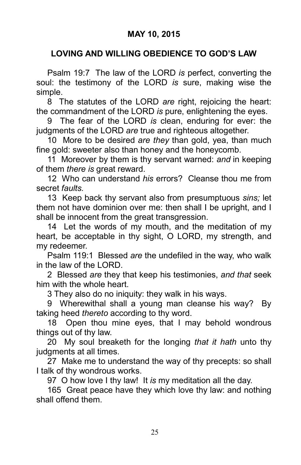#### LOVING AND WILLING OBEDIENCE TO GOD'S LAW

Psalm 19:7 The law of the LORD is perfect, converting the soul: the testimony of the LORD is sure, making wise the simple.

8 The statutes of the LORD are right, rejoicing the heart: the commandment of the LORD is pure, enlightening the eyes.

9 The fear of the LORD is clean, enduring for ever: the judgments of the LORD are true and righteous altogether.

10 More to be desired are they than gold, yea, than much fine gold: sweeter also than honey and the honeycomb.

11 Moreover by them is thy servant warned: and in keeping of them there is great reward.

12 Who can understand his errors? Cleanse thou me from secret faults.

13 Keep back thy servant also from presumptuous sins; let them not have dominion over me: then shall I be upright, and I shall be innocent from the great transgression.

14 Let the words of my mouth, and the meditation of my heart, be acceptable in thy sight, O LORD, my strength, and my redeemer.

Psalm 119:1 Blessed are the undefiled in the way, who walk in the law of the LORD.

2 Blessed are they that keep his testimonies, and that seek him with the whole heart.

3 They also do no iniquity: they walk in his ways.

9 Wherewithal shall a young man cleanse his way? By taking heed thereto according to thy word.

18 Open thou mine eyes, that I may behold wondrous things out of thy law.

20 My soul breaketh for the longing that it hath unto thy judgments at all times.

27 Make me to understand the way of thy precepts: so shall I talk of thy wondrous works.

97 O how love I thy law! It is my meditation all the day.

165 Great peace have they which love thy law: and nothing shall offend them.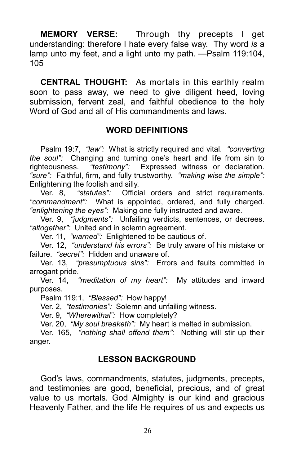MEMORY VERSE: Through thy precepts I get understanding: therefore I hate every false way. Thy word is a lamp unto my feet, and a light unto my path. —Psalm 119:104, 105

CENTRAL THOUGHT: As mortals in this earthly realm soon to pass away, we need to give diligent heed, loving submission, fervent zeal, and faithful obedience to the holy Word of God and all of His commandments and laws.

#### WORD DEFINITIONS

Psalm 19:7, "law": What is strictly required and vital. "converting" the soul": Changing and turning one's heart and life from sin to righteousness. "testimony": Expressed witness or declaration. "sure": Faithful, firm, and fully trustworthy. "making wise the simple": Enlightening the foolish and silly.

Ver. 8, "statutes": Official orders and strict requirements. "commandment": What is appointed, ordered, and fully charged. "enlightening the eyes": Making one fully instructed and aware.

Ver. 9, "judgments": Unfailing verdicts, sentences, or decrees. "altogether": United and in solemn agreement.

Ver. 11, "warned": Enlightened to be cautious of.

Ver. 12, "understand his errors": Be truly aware of his mistake or failure. "secret": Hidden and unaware of.

Ver. 13, "presumptuous sins": Errors and faults committed in arrogant pride.

Ver. 14, "meditation of my heart": My attitudes and inward purposes.

Psalm 119:1, "Blessed": How happy!

Ver. 2, "testimonies": Solemn and unfailing witness.

Ver. 9, "Wherewithal": How completely?

Ver. 20, "My soul breaketh": My heart is melted in submission.

Ver. 165, "nothing shall offend them": Nothing will stir up their anger.

#### LESSON BACKGROUND

God's laws, commandments, statutes, judgments, precepts, and testimonies are good, beneficial, precious, and of great value to us mortals. God Almighty is our kind and gracious Heavenly Father, and the life He requires of us and expects us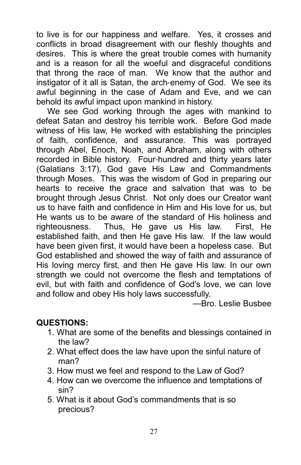to live is for our happiness and welfare. Yes, it crosses and conflicts in broad disagreement with our fleshly thoughts and desires. This is where the great trouble comes with humanity and is a reason for all the woeful and disgraceful conditions that throng the race of man. We know that the author and instigator of it all is Satan, the arch-enemy of God. We see its awful beginning in the case of Adam and Eve, and we can behold its awful impact upon mankind in history.

We see God working through the ages with mankind to defeat Satan and destroy his terrible work. Before God made witness of His law, He worked with establishing the principles of faith, confidence, and assurance. This was portrayed through Abel, Enoch, Noah, and Abraham, along with others recorded in Bible history. Four-hundred and thirty years later (Galatians 3:17), God gave His Law and Commandments through Moses. This was the wisdom of God in preparing our hearts to receive the grace and salvation that was to be brought through Jesus Christ. Not only does our Creator want us to have faith and confidence in Him and His love for us, but He wants us to be aware of the standard of His holiness and righteousness. Thus, He gave us His law. First, He established faith, and then He gave His law. If the law would have been given first, it would have been a hopeless case. But God established and showed the way of faith and assurance of His loving mercy first, and then He gave His law. In our own strength we could not overcome the flesh and temptations of evil, but with faith and confidence of God's love, we can love and follow and obey His holy laws successfully.

—Bro. Leslie Busbee

# QUESTIONS:

- 1. What are some of the benefits and blessings contained in the law?
- 2. What effect does the law have upon the sinful nature of man?
- 3. How must we feel and respond to the Law of God?
- 4. How can we overcome the influence and temptations of sin?
- 5. What is it about God's commandments that is so precious?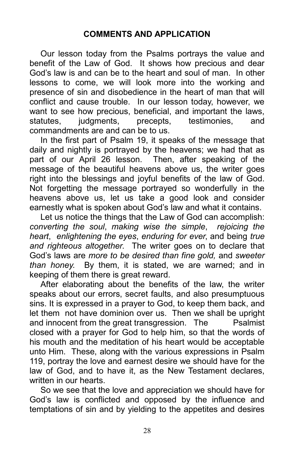#### COMMENTS AND APPLICATION

Our lesson today from the Psalms portrays the value and benefit of the Law of God. It shows how precious and dear God's law is and can be to the heart and soul of man. In other lessons to come, we will look more into the working and presence of sin and disobedience in the heart of man that will conflict and cause trouble. In our lesson today, however, we want to see how precious, beneficial, and important the laws, statutes, judgments, precepts, testimonies, and commandments are and can be to us.

In the first part of Psalm 19, it speaks of the message that daily and nightly is portrayed by the heavens; we had that as part of our April 26 lesson. Then, after speaking of the message of the beautiful heavens above us, the writer goes right into the blessings and joyful benefits of the law of God. Not forgetting the message portrayed so wonderfully in the heavens above us, let us take a good look and consider earnestly what is spoken about God's law and what it contains.

Let us notice the things that the Law of God can accomplish: converting the soul, making wise the simple, rejoicing the heart, enlightening the eyes, enduring for ever, and being true and righteous altogether. The writer goes on to declare that God's laws are more to be desired than fine gold, and sweeter than honey. By them, it is stated, we are warned; and in keeping of them there is great reward.

After elaborating about the benefits of the law, the writer speaks about our errors, secret faults, and also presumptuous sins. It is expressed in a prayer to God, to keep them back, and let them not have dominion over us. Then we shall be upright and innocent from the great transgression. The Psalmist closed with a prayer for God to help him, so that the words of his mouth and the meditation of his heart would be acceptable unto Him. These, along with the various expressions in Psalm 119, portray the love and earnest desire we should have for the law of God, and to have it, as the New Testament declares, written in our hearts.

So we see that the love and appreciation we should have for God's law is conflicted and opposed by the influence and temptations of sin and by yielding to the appetites and desires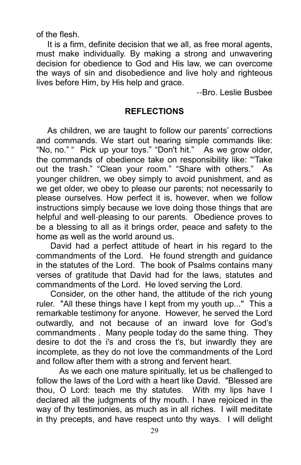of the flesh.

It is a firm, definite decision that we all, as free moral agents, must make individually. By making a strong and unwavering decision for obedience to God and His law, we can overcome the ways of sin and disobedience and live holy and righteous lives before Him, by His help and grace.

--Bro. Leslie Busbee

#### **REFLECTIONS**

As children, we are taught to follow our parents' corrections and commands. We start out hearing simple commands like: "No, no." " Pick up your toys." "Don't hit." As we grow older, the commands of obedience take on responsibility like: '"Take out the trash." "Clean your room." "Share with others." As younger children, we obey simply to avoid punishment, and as we get older, we obey to please our parents; not necessarily to please ourselves. How perfect it is, however, when we follow instructions simply because we love doing those things that are helpful and well-pleasing to our parents. Obedience proves to be a blessing to all as it brings order, peace and safety to the home as well as the world around us.

 David had a perfect attitude of heart in his regard to the commandments of the Lord. He found strength and guidance in the statutes of the Lord. The book of Psalms contains many verses of gratitude that David had for the laws, statutes and commandments of the Lord. He loved serving the Lord.

 Consider, on the other hand, the attitude of the rich young ruler. "All these things have I kept from my youth up..." This a remarkable testimony for anyone. However, he served the Lord outwardly, and not because of an inward love for God's commandments . Many people today do the same thing. They desire to dot the i's and cross the t's, but inwardly they are incomplete, as they do not love the commandments of the Lord and follow after them with a strong and fervent heart.

 As we each one mature spiritually, let us be challenged to follow the laws of the Lord with a heart like David. "Blessed are thou, O Lord: teach me thy statutes. With my lips have I declared all the judgments of thy mouth. I have rejoiced in the way of thy testimonies, as much as in all riches. I will meditate in thy precepts, and have respect unto thy ways. I will delight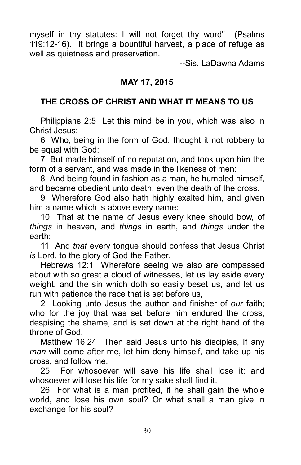myself in thy statutes: I will not forget thy word" (Psalms 119:12-16). It brings a bountiful harvest, a place of refuge as well as quietness and preservation.

--Sis. LaDawna Adams

#### MAY 17, 2015

## THE CROSS OF CHRIST AND WHAT IT MEANS TO US

Philippians 2:5 Let this mind be in you, which was also in Christ Jesus:

6 Who, being in the form of God, thought it not robbery to be equal with God:

7 But made himself of no reputation, and took upon him the form of a servant, and was made in the likeness of men:

8 And being found in fashion as a man, he humbled himself, and became obedient unto death, even the death of the cross.

9 Wherefore God also hath highly exalted him, and given him a name which is above every name:

10 That at the name of Jesus every knee should bow, of things in heaven, and things in earth, and things under the earth;

11 And that every tongue should confess that Jesus Christ is Lord, to the glory of God the Father.

Hebrews 12:1 Wherefore seeing we also are compassed about with so great a cloud of witnesses, let us lay aside every weight, and the sin which doth so easily beset us, and let us run with patience the race that is set before us,

2 Looking unto Jesus the author and finisher of our faith; who for the joy that was set before him endured the cross, despising the shame, and is set down at the right hand of the throne of God.

Matthew 16:24 Then said Jesus unto his disciples, If any man will come after me, let him deny himself, and take up his cross, and follow me.

25 For whosoever will save his life shall lose it: and whosoever will lose his life for my sake shall find it.

26 For what is a man profited, if he shall gain the whole world, and lose his own soul? Or what shall a man give in exchange for his soul?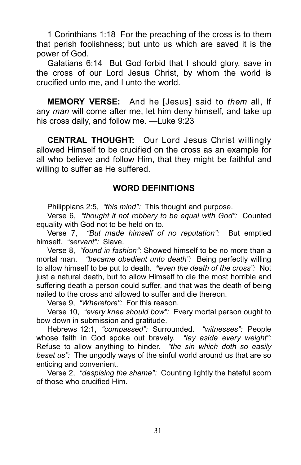1 Corinthians 1:18 For the preaching of the cross is to them that perish foolishness; but unto us which are saved it is the power of God.

Galatians 6:14 But God forbid that I should glory, save in the cross of our Lord Jesus Christ, by whom the world is crucified unto me, and I unto the world.

MEMORY VERSE: And he [Jesus] said to them all, If any man will come after me, let him deny himself, and take up his cross daily, and follow me. —Luke 9:23

CENTRAL THOUGHT: Our Lord Jesus Christ willingly allowed Himself to be crucified on the cross as an example for all who believe and follow Him, that they might be faithful and willing to suffer as He suffered.

#### WORD DEFINITIONS

Philippians 2:5, "this mind": This thought and purpose.

Verse 6, "thought it not robbery to be equal with God": Counted equality with God not to be held on to.

Verse 7, "But made himself of no reputation": But emptied himself. "servant": Slave.

Verse 8, "found in fashion": Showed himself to be no more than a mortal man. "became obedient unto death": Being perfectly willing to allow himself to be put to death. "even the death of the cross": Not just a natural death, but to allow Himself to die the most horrible and suffering death a person could suffer, and that was the death of being nailed to the cross and allowed to suffer and die thereon.

Verse 9, "Wherefore": For this reason.

Verse 10, "every knee should bow": Every mortal person ought to bow down in submission and gratitude.

Hebrews 12:1, "compassed": Surrounded. "witnesses": People whose faith in God spoke out bravely. "lay aside every weight": Refuse to allow anything to hinder. "the sin which doth so easily beset us": The ungodly ways of the sinful world around us that are so enticing and convenient.

Verse 2, "despising the shame": Counting lightly the hateful scorn of those who crucified Him.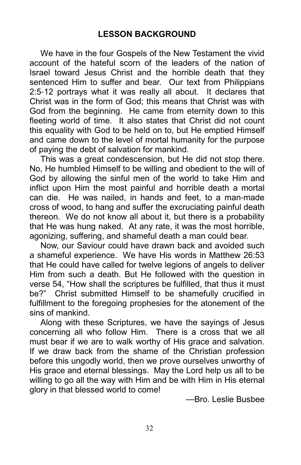We have in the four Gospels of the New Testament the vivid account of the hateful scorn of the leaders of the nation of Israel toward Jesus Christ and the horrible death that they sentenced Him to suffer and bear. Our text from Philippians 2:5-12 portrays what it was really all about. It declares that Christ was in the form of God; this means that Christ was with God from the beginning. He came from eternity down to this fleeting world of time. It also states that Christ did not count this equality with God to be held on to, but He emptied Himself and came down to the level of mortal humanity for the purpose of paying the debt of salvation for mankind.

This was a great condescension, but He did not stop there. No, He humbled Himself to be willing and obedient to the will of God by allowing the sinful men of the world to take Him and inflict upon Him the most painful and horrible death a mortal can die. He was nailed, in hands and feet, to a man-made cross of wood, to hang and suffer the excruciating painful death thereon. We do not know all about it, but there is a probability that He was hung naked. At any rate, it was the most horrible, agonizing, suffering, and shameful death a man could bear.

Now, our Saviour could have drawn back and avoided such a shameful experience. We have His words in Matthew 26:53 that He could have called for twelve legions of angels to deliver Him from such a death. But He followed with the question in verse 54, "How shall the scriptures be fulfilled, that thus it must be?" Christ submitted Himself to be shamefully crucified in fulfillment to the foregoing prophesies for the atonement of the sins of mankind.

Along with these Scriptures, we have the sayings of Jesus concerning all who follow Him. There is a cross that we all must bear if we are to walk worthy of His grace and salvation. If we draw back from the shame of the Christian profession before this ungodly world, then we prove ourselves unworthy of His grace and eternal blessings. May the Lord help us all to be willing to go all the way with Him and be with Him in His eternal glory in that blessed world to come!

—Bro. Leslie Busbee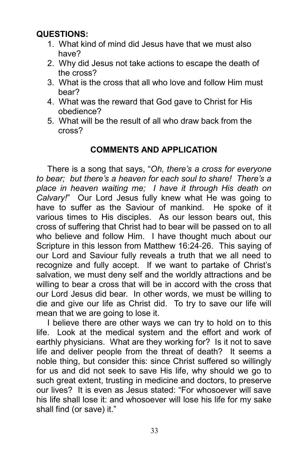# QUESTIONS:

- 1. What kind of mind did Jesus have that we must also have?
- 2. Why did Jesus not take actions to escape the death of the cross?
- 3. What is the cross that all who love and follow Him must bear?
- 4. What was the reward that God gave to Christ for His obedience?
- 5. What will be the result of all who draw back from the cross?

## COMMENTS AND APPLICATION

There is a song that says, "Oh, there's a cross for everyone to bear; but there's a heaven for each soul to share! There's a place in heaven waiting me; I have it through His death on Calvary!" Our Lord Jesus fully knew what He was going to have to suffer as the Saviour of mankind. He spoke of it various times to His disciples. As our lesson bears out, this cross of suffering that Christ had to bear will be passed on to all who believe and follow Him. I have thought much about our Scripture in this lesson from Matthew 16:24-26. This saying of our Lord and Saviour fully reveals a truth that we all need to recognize and fully accept. If we want to partake of Christ's salvation, we must deny self and the worldly attractions and be willing to bear a cross that will be in accord with the cross that our Lord Jesus did bear. In other words, we must be willing to die and give our life as Christ did. To try to save our life will mean that we are going to lose it.

I believe there are other ways we can try to hold on to this life. Look at the medical system and the effort and work of earthly physicians. What are they working for? Is it not to save life and deliver people from the threat of death? It seems a noble thing, but consider this: since Christ suffered so willingly for us and did not seek to save His life, why should we go to such great extent, trusting in medicine and doctors, to preserve our lives? It is even as Jesus stated: "For whosoever will save his life shall lose it: and whosoever will lose his life for my sake shall find (or save) it."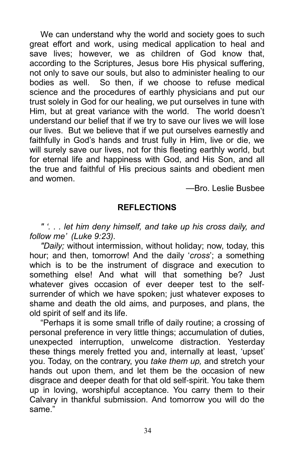We can understand why the world and society goes to such great effort and work, using medical application to heal and save lives; however, we as children of God know that, according to the Scriptures, Jesus bore His physical suffering, not only to save our souls, but also to administer healing to our bodies as well. So then, if we choose to refuse medical science and the procedures of earthly physicians and put our trust solely in God for our healing, we put ourselves in tune with Him, but at great variance with the world. The world doesn't understand our belief that if we try to save our lives we will lose our lives. But we believe that if we put ourselves earnestly and faithfully in God's hands and trust fully in Him, live or die, we will surely save our lives, not for this fleeting earthly world, but for eternal life and happiness with God, and His Son, and all the true and faithful of His precious saints and obedient men and women.

—Bro. Leslie Busbee

#### REFLECTIONS

" '. . . let him deny himself, and take up his cross daily, and follow me' (Luke 9:23).

"Daily; without intermission, without holiday; now, today, this hour; and then, tomorrow! And the daily 'cross'; a something which is to be the instrument of disgrace and execution to something else! And what will that something be? Just whatever gives occasion of ever deeper test to the selfsurrender of which we have spoken; just whatever exposes to shame and death the old aims, and purposes, and plans, the old spirit of self and its life.

"Perhaps it is some small trifle of daily routine; a crossing of personal preference in very little things; accumulation of duties, unexpected interruption, unwelcome distraction. Yesterday these things merely fretted you and, internally at least, 'upset' you. Today, on the contrary, you take them up, and stretch your hands out upon them, and let them be the occasion of new disgrace and deeper death for that old self-spirit. You take them up in loving, worshipful acceptance. You carry them to their Calvary in thankful submission. And tomorrow you will do the same."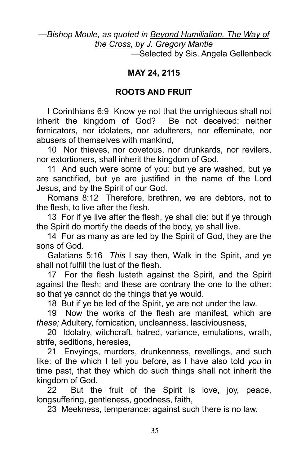#### —Bishop Moule, as quoted in Beyond Humiliation, The Way of the Cross, by J. Gregory Mantle

—Selected by Sis. Angela Gellenbeck

#### MAY 24, 2115

#### ROOTS AND FRUIT

I Corinthians 6:9 Know ye not that the unrighteous shall not inherit the kingdom of God? Be not deceived: neither fornicators, nor idolaters, nor adulterers, nor effeminate, nor abusers of themselves with mankind,

10 Nor thieves, nor covetous, nor drunkards, nor revilers, nor extortioners, shall inherit the kingdom of God.

11 And such were some of you: but ye are washed, but ye are sanctified, but ye are justified in the name of the Lord Jesus, and by the Spirit of our God.

Romans 8:12 Therefore, brethren, we are debtors, not to the flesh, to live after the flesh.

13 For if ye live after the flesh, ye shall die: but if ye through the Spirit do mortify the deeds of the body, ye shall live.

14 For as many as are led by the Spirit of God, they are the sons of God.

Galatians 5:16 This I say then, Walk in the Spirit, and ye shall not fulfill the lust of the flesh.

17 For the flesh lusteth against the Spirit, and the Spirit against the flesh: and these are contrary the one to the other: so that ye cannot do the things that ye would.

18 But if ye be led of the Spirit, ye are not under the law.

19 Now the works of the flesh are manifest, which are these; Adultery, fornication, uncleanness, lasciviousness,

20 Idolatry, witchcraft, hatred, variance, emulations, wrath, strife, seditions, heresies,

21 Envyings, murders, drunkenness, revellings, and such like: of the which I tell you before, as I have also told you in time past, that they which do such things shall not inherit the kingdom of God.

22 But the fruit of the Spirit is love, joy, peace, longsuffering, gentleness, goodness, faith,

23 Meekness, temperance: against such there is no law.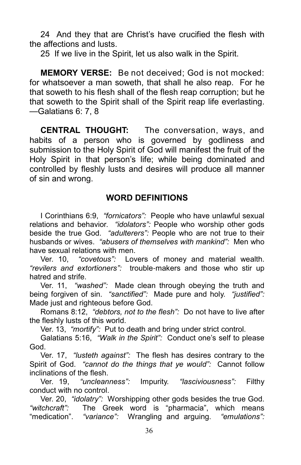24 And they that are Christ's have crucified the flesh with the affections and lusts.

25 If we live in the Spirit, let us also walk in the Spirit.

MEMORY VERSE: Be not deceived; God is not mocked: for whatsoever a man soweth, that shall he also reap. For he that soweth to his flesh shall of the flesh reap corruption; but he that soweth to the Spirit shall of the Spirit reap life everlasting. —Galatians 6: 7, 8

CENTRAL THOUGHT: The conversation, ways, and habits of a person who is governed by godliness and submission to the Holy Spirit of God will manifest the fruit of the Holy Spirit in that person's life; while being dominated and controlled by fleshly lusts and desires will produce all manner of sin and wrong.

#### WORD DEFINITIONS

I Corinthians 6:9, "fornicators": People who have unlawful sexual relations and behavior. "idolators": People who worship other gods beside the true God. "adulterers": People who are not true to their husbands or wives. "abusers of themselves with mankind": Men who have sexual relations with men.

Ver. 10, "covetous": Lovers of money and material wealth. "revilers and extortioners": trouble-makers and those who stir up hatred and strife.

Ver. 11, "washed": Made clean through obeying the truth and being forgiven of sin. "sanctified": Made pure and holy. "justified": Made just and righteous before God.

Romans 8:12, "debtors, not to the flesh": Do not have to live after the fleshly lusts of this world.

Ver. 13, "mortify": Put to death and bring under strict control.

Galatians 5:16, "Walk in the Spirit": Conduct one's self to please God.

Ver. 17, "lusteth against": The flesh has desires contrary to the Spirit of God. "cannot do the things that ye would": Cannot follow inclinations of the flesh.

Ver. 19, "uncleanness": Impurity. "lasciviousness": Filthy conduct with no control.

Ver. 20, "idolatry": Worshipping other gods besides the true God. "witchcraft": The Greek word is "pharmacia", which means "medication". "variance": Wrangling and arguing. "emulations":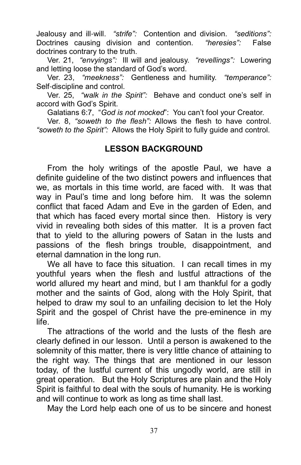Jealousy and ill-will. "strife": Contention and division. "seditions": Doctrines causing division and contention. "heresies": False doctrines contrary to the truth.

Ver. 21, "envyings": Ill will and jealousy. "revellings": Lowering and letting loose the standard of God's word.

Ver. 23, "meekness": Gentleness and humility. "temperance": Self-discipline and control.

Ver. 25, "walk in the Spirit": Behave and conduct one's self in accord with God's Spirit.

Galatians 6:7, "God is not mocked": You can't fool your Creator.

 Ver. 8, "soweth to the flesh": Allows the flesh to have control. "soweth to the Spirit": Allows the Holy Spirit to fully guide and control.

## LESSON BACKGROUND

From the holy writings of the apostle Paul, we have a definite guideline of the two distinct powers and influences that we, as mortals in this time world, are faced with. It was that way in Paul's time and long before him. It was the solemn conflict that faced Adam and Eve in the garden of Eden, and that which has faced every mortal since then. History is very vivid in revealing both sides of this matter. It is a proven fact that to yield to the alluring powers of Satan in the lusts and passions of the flesh brings trouble, disappointment, and eternal damnation in the long run.

We all have to face this situation. I can recall times in my youthful years when the flesh and lustful attractions of the world allured my heart and mind, but I am thankful for a godly mother and the saints of God, along with the Holy Spirit, that helped to draw my soul to an unfailing decision to let the Holy Spirit and the gospel of Christ have the pre-eminence in my life.

The attractions of the world and the lusts of the flesh are clearly defined in our lesson. Until a person is awakened to the solemnity of this matter, there is very little chance of attaining to the right way. The things that are mentioned in our lesson today, of the lustful current of this ungodly world, are still in great operation. But the Holy Scriptures are plain and the Holy Spirit is faithful to deal with the souls of humanity. He is working and will continue to work as long as time shall last.

May the Lord help each one of us to be sincere and honest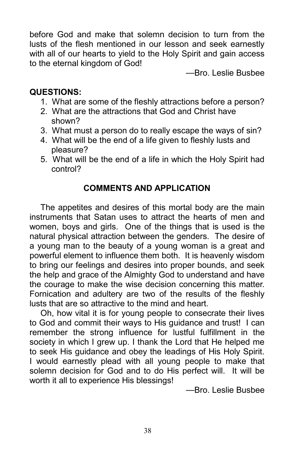before God and make that solemn decision to turn from the lusts of the flesh mentioned in our lesson and seek earnestly with all of our hearts to yield to the Holy Spirit and gain access to the eternal kingdom of God!

—Bro. Leslie Busbee

# QUESTIONS:

- 1. What are some of the fleshly attractions before a person?
- 2. What are the attractions that God and Christ have shown?
- 3. What must a person do to really escape the ways of sin?
- 4. What will be the end of a life given to fleshly lusts and pleasure?
- 5. What will be the end of a life in which the Holy Spirit had control?

# COMMENTS AND APPLICATION

The appetites and desires of this mortal body are the main instruments that Satan uses to attract the hearts of men and women, boys and girls. One of the things that is used is the natural physical attraction between the genders. The desire of a young man to the beauty of a young woman is a great and powerful element to influence them both. It is heavenly wisdom to bring our feelings and desires into proper bounds, and seek the help and grace of the Almighty God to understand and have the courage to make the wise decision concerning this matter. Fornication and adultery are two of the results of the fleshly lusts that are so attractive to the mind and heart.

Oh, how vital it is for young people to consecrate their lives to God and commit their ways to His guidance and trust! I can remember the strong influence for lustful fulfillment in the society in which I grew up. I thank the Lord that He helped me to seek His guidance and obey the leadings of His Holy Spirit. I would earnestly plead with all young people to make that solemn decision for God and to do His perfect will. It will be worth it all to experience His blessings!

—Bro. Leslie Busbee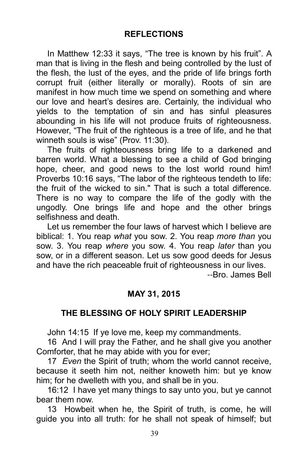In Matthew 12:33 it says, "The tree is known by his fruit". A man that is living in the flesh and being controlled by the lust of the flesh, the lust of the eyes, and the pride of life brings forth corrupt fruit (either literally or morally). Roots of sin are manifest in how much time we spend on something and where our love and heart's desires are. Certainly, the individual who yields to the temptation of sin and has sinful pleasures abounding in his life will not produce fruits of righteousness. However, "The fruit of the righteous is a tree of life, and he that winneth souls is wise" (Prov. 11:30).

The fruits of righteousness bring life to a darkened and barren world. What a blessing to see a child of God bringing hope, cheer, and good news to the lost world round him! Proverbs 10:16 says, "The labor of the righteous tendeth to life: the fruit of the wicked to sin." That is such a total difference. There is no way to compare the life of the godly with the ungodly. One brings life and hope and the other brings selfishness and death.

Let us remember the four laws of harvest which I believe are biblical: 1. You reap what you sow. 2. You reap more than you sow. 3. You reap where you sow. 4. You reap later than you sow, or in a different season. Let us sow good deeds for Jesus and have the rich peaceable fruit of righteousness in our lives.

--Bro. James Bell

## MAY 31, 2015

#### THE BLESSING OF HOLY SPIRIT LEADERSHIP

John 14:15 If ye love me, keep my commandments.

16 And I will pray the Father, and he shall give you another Comforter, that he may abide with you for ever;

17 Even the Spirit of truth; whom the world cannot receive, because it seeth him not, neither knoweth him: but ye know him; for he dwelleth with you, and shall be in you.

16:12 I have yet many things to say unto you, but ye cannot bear them now.

13 Howbeit when he, the Spirit of truth, is come, he will guide you into all truth: for he shall not speak of himself; but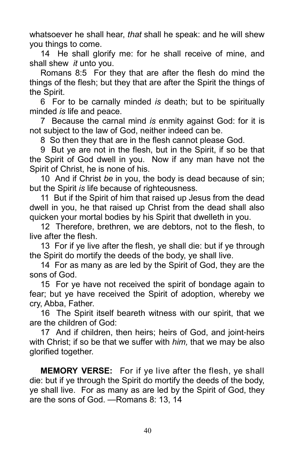whatsoever he shall hear, that shall he speak: and he will shew you things to come.

14 He shall glorify me: for he shall receive of mine, and shall shew *it* unto you.

Romans 8:5 For they that are after the flesh do mind the things of the flesh; but they that are after the Spirit the things of the Spirit.

6 For to be carnally minded is death; but to be spiritually minded is life and peace.

7 Because the carnal mind is enmity against God: for it is not subject to the law of God, neither indeed can be.

8 So then they that are in the flesh cannot please God.

9 But ye are not in the flesh, but in the Spirit, if so be that the Spirit of God dwell in you. Now if any man have not the Spirit of Christ, he is none of his.

10 And if Christ be in you, the body is dead because of sin; but the Spirit is life because of righteousness.

11 But if the Spirit of him that raised up Jesus from the dead dwell in you, he that raised up Christ from the dead shall also quicken your mortal bodies by his Spirit that dwelleth in you.

12 Therefore, brethren, we are debtors, not to the flesh, to live after the flesh.

13 For if ye live after the flesh, ye shall die: but if ye through the Spirit do mortify the deeds of the body, ye shall live.

14 For as many as are led by the Spirit of God, they are the sons of God.

15 For ye have not received the spirit of bondage again to fear; but ye have received the Spirit of adoption, whereby we cry, Abba, Father.

16 The Spirit itself beareth witness with our spirit, that we are the children of God:

17 And if children, then heirs; heirs of God, and joint-heirs with Christ; if so be that we suffer with *him*, that we may be also glorified together.

MEMORY VERSE: For if ye live after the flesh, ye shall die: but if ye through the Spirit do mortify the deeds of the body, ye shall live. For as many as are led by the Spirit of God, they are the sons of God. —Romans 8: 13, 14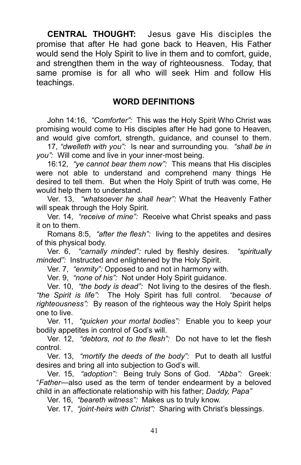CENTRAL THOUGHT: Jesus gave His disciples the promise that after He had gone back to Heaven, His Father would send the Holy Spirit to live in them and to comfort, guide, and strengthen them in the way of righteousness. Today, that same promise is for all who will seek Him and follow His teachings.

#### WORD DEFINITIONS

John 14:16, "Comforter": This was the Holy Spirit Who Christ was promising would come to His disciples after He had gone to Heaven, and would give comfort, strength, guidance, and counsel to them.

17, "dwelleth with you": Is near and surrounding you. "shall be in you": Will come and live in your inner-most being.

16:12, "ye cannot bear them now": This means that His disciples were not able to understand and comprehend many things He desired to tell them. But when the Holy Spirit of truth was come, He would help them to understand.

Ver. 13, "whatsoever he shall hear": What the Heavenly Father will speak through the Holy Spirit.

Ver. 14, "receive of mine": Receive what Christ speaks and pass it on to them.

Romans 8:5, "after the flesh": living to the appetites and desires of this physical body.

Ver. 6, "carnally minded": ruled by fleshly desires. "spiritually minded": Instructed and enlightened by the Holy Spirit.

Ver. 7, "enmity": Opposed to and not in harmony with.

Ver. 9, "none of his": Not under Holy Spirit guidance.

Ver. 10, "the body is dead": Not living to the desires of the flesh. "the Spirit is life": The Holy Spirit has full control. "because of righteousness": By reason of the righteous way the Holy Spirit helps one to live.

Ver. 11, "quicken your mortal bodies": Enable you to keep your bodily appetites in control of God's will.

Ver. 12, "debtors, not to the flesh": Do not have to let the flesh control.

Ver. 13, "mortify the deeds of the body": Put to death all lustful desires and bring all into subjection to God's will.

Ver. 15, "adoption": Being truly Sons of God. "Abba": Greek: "Father—also used as the term of tender endearment by a beloved child in an affectionate relationship with his father; Daddy, Papa"

Ver. 16, "beareth witness": Makes us to truly know.

Ver. 17, "joint-heirs with Christ": Sharing with Christ's blessings.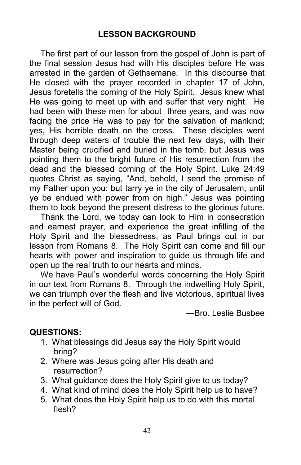The first part of our lesson from the gospel of John is part of the final session Jesus had with His disciples before He was arrested in the garden of Gethsemane. In this discourse that He closed with the prayer recorded in chapter 17 of John, Jesus foretells the coming of the Holy Spirit. Jesus knew what He was going to meet up with and suffer that very night. He had been with these men for about three years, and was now facing the price He was to pay for the salvation of mankind; yes, His horrible death on the cross. These disciples went through deep waters of trouble the next few days, with their Master being crucified and buried in the tomb, but Jesus was pointing them to the bright future of His resurrection from the dead and the blessed coming of the Holy Spirit. Luke 24:49 quotes Christ as saying, "And, behold, I send the promise of my Father upon you: but tarry ye in the city of Jerusalem, until ye be endued with power from on high." Jesus was pointing them to look beyond the present distress to the glorious future.

Thank the Lord, we today can look to Him in consecration and earnest prayer, and experience the great infilling of the Holy Spirit and the blessedness, as Paul brings out in our lesson from Romans 8. The Holy Spirit can come and fill our hearts with power and inspiration to guide us through life and open up the real truth to our hearts and minds.

We have Paul's wonderful words concerning the Holy Spirit in our text from Romans 8. Through the indwelling Holy Spirit, we can triumph over the flesh and live victorious, spiritual lives in the perfect will of God.

—Bro. Leslie Busbee

# QUESTIONS:

- 1. What blessings did Jesus say the Holy Spirit would bring?
- 2. Where was Jesus going after His death and resurrection?
- 3. What guidance does the Holy Spirit give to us today?
- 4. What kind of mind does the Holy Spirit help us to have?
- 5. What does the Holy Spirit help us to do with this mortal flesh?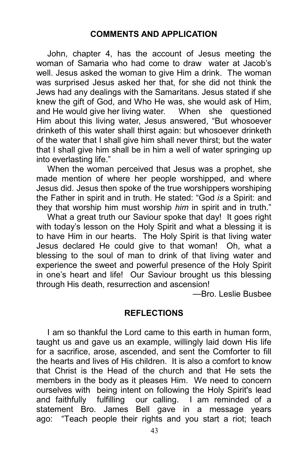John, chapter 4, has the account of Jesus meeting the woman of Samaria who had come to draw water at Jacob's well. Jesus asked the woman to give Him a drink. The woman was surprised Jesus asked her that, for she did not think the Jews had any dealings with the Samaritans. Jesus stated if she knew the gift of God, and Who He was, she would ask of Him, and He would give her living water. When she questioned Him about this living water, Jesus answered, "But whosoever drinketh of this water shall thirst again: but whosoever drinketh of the water that I shall give him shall never thirst; but the water that I shall give him shall be in him a well of water springing up into everlasting life."

When the woman perceived that Jesus was a prophet, she made mention of where her people worshipped, and where Jesus did. Jesus then spoke of the true worshippers worshiping the Father in spirit and in truth. He stated: "God is a Spirit: and they that worship him must worship him in spirit and in truth."

What a great truth our Saviour spoke that day! It goes right with today's lesson on the Holy Spirit and what a blessing it is to have Him in our hearts. The Holy Spirit is that living water Jesus declared He could give to that woman! Oh, what a blessing to the soul of man to drink of that living water and experience the sweet and powerful presence of the Holy Spirit in one's heart and life! Our Saviour brought us this blessing through His death, resurrection and ascension!

—Bro. Leslie Busbee

#### REFLECTIONS

I am so thankful the Lord came to this earth in human form, taught us and gave us an example, willingly laid down His life for a sacrifice, arose, ascended, and sent the Comforter to fill the hearts and lives of His children. It is also a comfort to know that Christ is the Head of the church and that He sets the members in the body as it pleases Him. We need to concern ourselves with being intent on following the Holy Spirit's lead and faithfully fulfilling our calling. I am reminded of a statement Bro. James Bell gave in a message years ago: "Teach people their rights and you start a riot; teach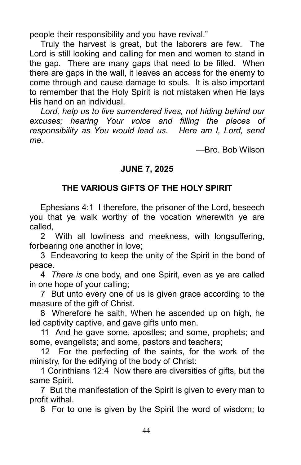people their responsibility and you have revival."

Truly the harvest is great, but the laborers are few. The Lord is still looking and calling for men and women to stand in the gap. There are many gaps that need to be filled. When there are gaps in the wall, it leaves an access for the enemy to come through and cause damage to souls. It is also important to remember that the Holy Spirit is not mistaken when He lays His hand on an individual.

Lord, help us to live surrendered lives, not hiding behind our excuses; hearing Your voice and filling the places of responsibility as You would lead us. Here am I, Lord, send me.

—Bro. Bob Wilson

#### JUNE 7, 2025

# THE VARIOUS GIFTS OF THE HOLY SPIRIT

Ephesians 4:1 I therefore, the prisoner of the Lord, beseech you that ye walk worthy of the vocation wherewith ye are called,

2 With all lowliness and meekness, with longsuffering, forbearing one another in love;

3 Endeavoring to keep the unity of the Spirit in the bond of peace.

4 There is one body, and one Spirit, even as ye are called in one hope of your calling;

7 But unto every one of us is given grace according to the measure of the gift of Christ.

8 Wherefore he saith, When he ascended up on high, he led captivity captive, and gave gifts unto men.

11 And he gave some, apostles; and some, prophets; and some, evangelists; and some, pastors and teachers;

12 For the perfecting of the saints, for the work of the ministry, for the edifying of the body of Christ:

1 Corinthians 12:4 Now there are diversities of gifts, but the same Spirit.

7 But the manifestation of the Spirit is given to every man to profit withal.

8 For to one is given by the Spirit the word of wisdom; to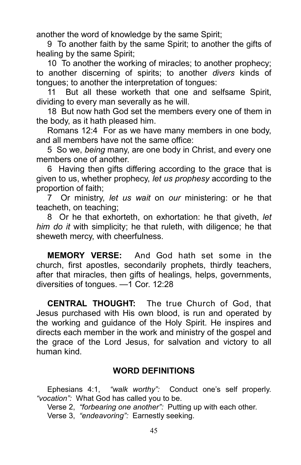another the word of knowledge by the same Spirit;

9 To another faith by the same Spirit; to another the gifts of healing by the same Spirit;

10 To another the working of miracles; to another prophecy; to another discerning of spirits; to another divers kinds of tongues; to another the interpretation of tongues:

11 But all these worketh that one and selfsame Spirit, dividing to every man severally as he will.

18 But now hath God set the members every one of them in the body, as it hath pleased him.

Romans 12:4 For as we have many members in one body, and all members have not the same office:

5 So we, being many, are one body in Christ, and every one members one of another.

6 Having then gifts differing according to the grace that is given to us, whether prophecy, let us prophesy according to the proportion of faith;

7 Or ministry, let us wait on our ministering: or he that teacheth, on teaching;

8 Or he that exhorteth, on exhortation: he that giveth, let him do it with simplicity; he that ruleth, with diligence; he that sheweth mercy, with cheerfulness.

MEMORY VERSE: And God hath set some in the church, first apostles, secondarily prophets, thirdly teachers, after that miracles, then gifts of healings, helps, governments, diversities of tongues. —1 Cor. 12:28

CENTRAL THOUGHT: The true Church of God, that Jesus purchased with His own blood, is run and operated by the working and guidance of the Holy Spirit. He inspires and directs each member in the work and ministry of the gospel and the grace of the Lord Jesus, for salvation and victory to all human kind.

#### WORD DEFINITIONS

Ephesians 4:1, "walk worthy": Conduct one's self properly. "vocation": What God has called you to be.

Verse 2, "forbearing one another": Putting up with each other. Verse 3, "endeavoring": Earnestly seeking.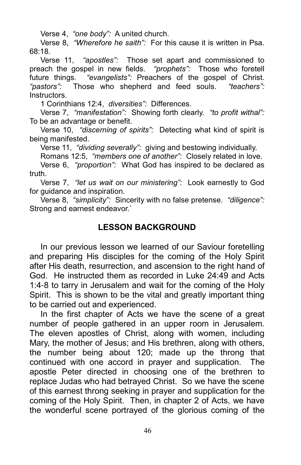Verse 4, "one body": A united church.

Verse 8, "Wherefore he saith": For this cause it is written in Psa. 68:18.

Verse 11, "apostles": Those set apart and commissioned to preach the gospel in new fields. "prophets": Those who foretell future things. "evangelists": Preachers of the gospel of Christ. "pastors": Those who shepherd and feed souls. "teachers": Instructors.

1 Corinthians 12:4, diversities": Differences.

Verse 7, "manifestation": Showing forth clearly. "to profit withal": To be an advantage or benefit.

Verse 10, "discerning of spirits": Detecting what kind of spirit is being manifested.

Verse 11, "dividing severally": giving and bestowing individually.

Romans 12:5, "members one of another": Closely related in love.

Verse 6, "proportion": What God has inspired to be declared as truth.

Verse 7, "let us wait on our ministering": Look earnestly to God for guidance and inspiration.

Verse 8, "simplicity": Sincerity with no false pretense. "diligence": Strong and earnest endeavor.`

#### LESSON BACKGROUND

In our previous lesson we learned of our Saviour foretelling and preparing His disciples for the coming of the Holy Spirit after His death, resurrection, and ascension to the right hand of God. He instructed them as recorded in Luke 24:49 and Acts 1:4-8 to tarry in Jerusalem and wait for the coming of the Holy Spirit. This is shown to be the vital and greatly important thing to be carried out and experienced.

In the first chapter of Acts we have the scene of a great number of people gathered in an upper room in Jerusalem. The eleven apostles of Christ, along with women, including Mary, the mother of Jesus; and His brethren, along with others, the number being about 120; made up the throng that continued with one accord in prayer and supplication. The apostle Peter directed in choosing one of the brethren to replace Judas who had betrayed Christ. So we have the scene of this earnest throng seeking in prayer and supplication for the coming of the Holy Spirit. Then, in chapter 2 of Acts, we have the wonderful scene portrayed of the glorious coming of the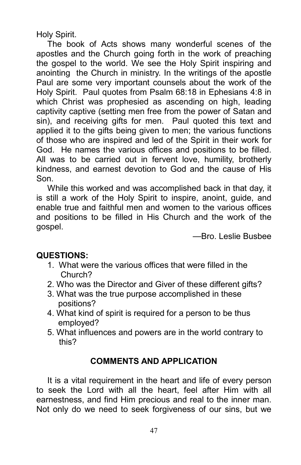Holy Spirit.

The book of Acts shows many wonderful scenes of the apostles and the Church going forth in the work of preaching the gospel to the world. We see the Holy Spirit inspiring and anointing the Church in ministry. In the writings of the apostle Paul are some very important counsels about the work of the Holy Spirit. Paul quotes from Psalm 68:18 in Ephesians 4:8 in which Christ was prophesied as ascending on high, leading captivity captive (setting men free from the power of Satan and sin), and receiving gifts for men. Paul quoted this text and applied it to the gifts being given to men; the various functions of those who are inspired and led of the Spirit in their work for God. He names the various offices and positions to be filled. All was to be carried out in fervent love, humility, brotherly kindness, and earnest devotion to God and the cause of His Son.

While this worked and was accomplished back in that day, it is still a work of the Holy Spirit to inspire, anoint, guide, and enable true and faithful men and women to the various offices and positions to be filled in His Church and the work of the gospel.

—Bro. Leslie Busbee

## QUESTIONS:

- 1. What were the various offices that were filled in the Church?
- 2. Who was the Director and Giver of these different gifts?
- 3. What was the true purpose accomplished in these positions?
- 4. What kind of spirit is required for a person to be thus employed?
- 5. What influences and powers are in the world contrary to this?

## COMMENTS AND APPLICATION

It is a vital requirement in the heart and life of every person to seek the Lord with all the heart, feel after Him with all earnestness, and find Him precious and real to the inner man. Not only do we need to seek forgiveness of our sins, but we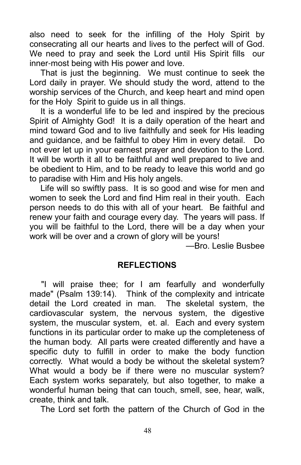also need to seek for the infilling of the Holy Spirit by consecrating all our hearts and lives to the perfect will of God. We need to pray and seek the Lord until His Spirit fills our inner-most being with His power and love.

That is just the beginning. We must continue to seek the Lord daily in prayer. We should study the word, attend to the worship services of the Church, and keep heart and mind open for the Holy Spirit to guide us in all things.

It is a wonderful life to be led and inspired by the precious Spirit of Almighty God! It is a daily operation of the heart and mind toward God and to live faithfully and seek for His leading and guidance, and be faithful to obey Him in every detail. Do not ever let up in your earnest prayer and devotion to the Lord. It will be worth it all to be faithful and well prepared to live and be obedient to Him, and to be ready to leave this world and go to paradise with Him and His holy angels.

Life will so swiftly pass. It is so good and wise for men and women to seek the Lord and find Him real in their youth. Each person needs to do this with all of your heart. Be faithful and renew your faith and courage every day. The years will pass. If you will be faithful to the Lord, there will be a day when your work will be over and a crown of glory will be yours!

—Bro. Leslie Busbee

#### REFLECTIONS

 "I will praise thee; for I am fearfully and wonderfully made" (Psalm 139:14). Think of the complexity and intricate detail the Lord created in man. The skeletal system, the cardiovascular system, the nervous system, the digestive system, the muscular system, et. al. Each and every system functions in its particular order to make up the completeness of the human body. All parts were created differently and have a specific duty to fulfill in order to make the body function correctly. What would a body be without the skeletal system? What would a body be if there were no muscular system? Each system works separately, but also together, to make a wonderful human being that can touch, smell, see, hear, walk, create, think and talk.

The Lord set forth the pattern of the Church of God in the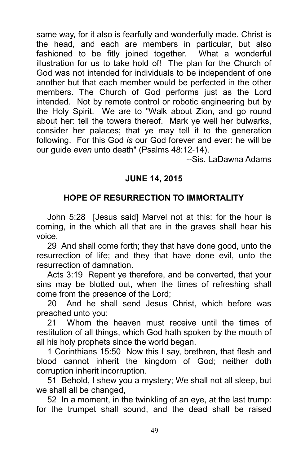same way, for it also is fearfully and wonderfully made. Christ is the head, and each are members in particular, but also fashioned to be fitly joined together. What a wonderful illustration for us to take hold of! The plan for the Church of God was not intended for individuals to be independent of one another but that each member would be perfected in the other members. The Church of God performs just as the Lord intended. Not by remote control or robotic engineering but by the Holy Spirit. We are to "Walk about Zion, and go round about her: tell the towers thereof. Mark ye well her bulwarks, consider her palaces; that ye may tell it to the generation following. For this God is our God forever and ever: he will be our guide even unto death" (Psalms 48:12-14).

--Sis. LaDawna Adams

# JUNE 14, 2015

# HOPE OF RESURRECTION TO IMMORTALITY

John 5:28 [Jesus said] Marvel not at this: for the hour is coming, in the which all that are in the graves shall hear his voice,

29 And shall come forth; they that have done good, unto the resurrection of life; and they that have done evil, unto the resurrection of damnation.

Acts 3:19 Repent ye therefore, and be converted, that your sins may be blotted out, when the times of refreshing shall come from the presence of the Lord;

20 And he shall send Jesus Christ, which before was preached unto you:

21 Whom the heaven must receive until the times of restitution of all things, which God hath spoken by the mouth of all his holy prophets since the world began.

1 Corinthians 15:50 Now this I say, brethren, that flesh and blood cannot inherit the kingdom of God; neither doth corruption inherit incorruption.

51 Behold, I shew you a mystery; We shall not all sleep, but we shall all be changed,

52 In a moment, in the twinkling of an eye, at the last trump: for the trumpet shall sound, and the dead shall be raised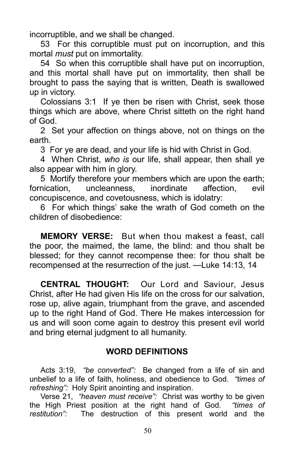incorruptible, and we shall be changed.

53 For this corruptible must put on incorruption, and this mortal *must* put on immortality.

54 So when this corruptible shall have put on incorruption, and this mortal shall have put on immortality, then shall be brought to pass the saying that is written, Death is swallowed up in victory.

Colossians 3:1 If ye then be risen with Christ, seek those things which are above, where Christ sitteth on the right hand of God.

2 Set your affection on things above, not on things on the earth.

3 For ye are dead, and your life is hid with Christ in God.

4 When Christ, who is our life, shall appear, then shall ye also appear with him in glory.

5 Mortify therefore your members which are upon the earth; fornication, uncleanness, inordinate affection, evil concupiscence, and covetousness, which is idolatry:

6 For which things' sake the wrath of God cometh on the children of disobedience:

MEMORY VERSE: But when thou makest a feast, call the poor, the maimed, the lame, the blind: and thou shalt be blessed; for they cannot recompense thee: for thou shalt be recompensed at the resurrection of the just. —Luke 14:13, 14

CENTRAL THOUGHT: Our Lord and Saviour, Jesus Christ, after He had given His life on the cross for our salvation, rose up, alive again, triumphant from the grave, and ascended up to the right Hand of God. There He makes intercession for us and will soon come again to destroy this present evil world and bring eternal judgment to all humanity.

#### WORD DEFINITIONS

Acts 3:19, "be converted": Be changed from a life of sin and unbelief to a life of faith, holiness, and obedience to God. "times of refreshing": Holy Spirit anointing and inspiration.

Verse 21, "heaven must receive": Christ was worthy to be given the High Priest position at the right hand of God. "times of restitution": The destruction of this present world and the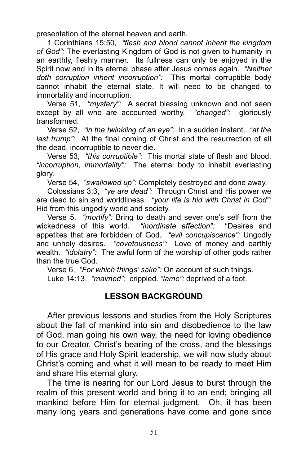presentation of the eternal heaven and earth.

1 Corinthians 15:50, "flesh and blood cannot inherit the kingdom of God": The everlasting Kingdom of God is not given to humanity in an earthly, fleshly manner. Its fullness can only be enjoyed in the Spirit now and in its eternal phase after Jesus comes again. "Neither doth corruption inherit incorruption": This mortal corruptible body cannot inhabit the eternal state. It will need to be changed to immortality and incorruption.

Verse 51, "mystery": A secret blessing unknown and not seen except by all who are accounted worthy. "changed": gloriously transformed.

Verse 52, "in the twinkling of an eye": In a sudden instant. "at the last trump": At the final coming of Christ and the resurrection of all the dead, incorruptible to never die.

Verse 53, "this corruptible": This mortal state of flesh and blood. "incorruption, immortality": The eternal body to inhabit everlasting glory.

Verse 54, "swallowed up": Completely destroyed and done away.

Colossians 3:3, "ye are dead": Through Christ and His power we are dead to sin and worldliness. "your life is hid with Christ in God": Hid from this ungodly world and society.

Verse 5, "mortify": Bring to death and sever one's self from the wickedness of this world. "*inordinate affection*": "Desires and appetites that are forbidden of God. "evil concupiscence": Ungodly and unholy desires. "covetousness": Love of money and earthly wealth. "*idolatry*": The awful form of the worship of other gods rather than the true God.

Verse 6, "For which things' sake": On account of such things. Luke 14:13, "maimed": crippled. "lame": deprived of a foot.

## LESSON BACKGROUND

After previous lessons and studies from the Holy Scriptures about the fall of mankind into sin and disobedience to the law of God, man going his own way, the need for loving obedience to our Creator, Christ's bearing of the cross, and the blessings of His grace and Holy Spirit leadership, we will now study about Christ's coming and what it will mean to be ready to meet Him and share His eternal glory.

The time is nearing for our Lord Jesus to burst through the realm of this present world and bring it to an end; bringing all mankind before Him for eternal judgment. Oh, it has been many long years and generations have come and gone since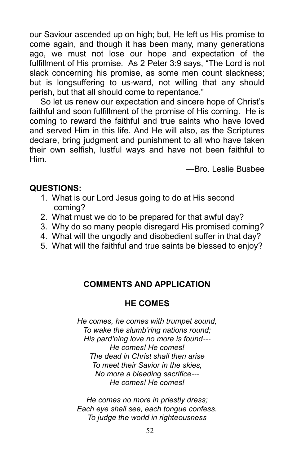our Saviour ascended up on high; but, He left us His promise to come again, and though it has been many, many generations ago, we must not lose our hope and expectation of the fulfillment of His promise. As 2 Peter 3:9 says, "The Lord is not slack concerning his promise, as some men count slackness; but is longsuffering to us-ward, not willing that any should perish, but that all should come to repentance."

So let us renew our expectation and sincere hope of Christ's faithful and soon fulfillment of the promise of His coming. He is coming to reward the faithful and true saints who have loved and served Him in this life. And He will also, as the Scriptures declare, bring judgment and punishment to all who have taken their own selfish, lustful ways and have not been faithful to Him.

—Bro. Leslie Busbee

#### QUESTIONS:

- 1. What is our Lord Jesus going to do at His second coming?
- 2. What must we do to be prepared for that awful day?
- 3. Why do so many people disregard His promised coming?
- 4. What will the ungodly and disobedient suffer in that day?
- 5. What will the faithful and true saints be blessed to enjoy?

# COMMENTS AND APPLICATION

# HE COMES

He comes, he comes with trumpet sound, To wake the slumb'ring nations round; His pard'ning love no more is found--- He comes! He comes! The dead in Christ shall then arise To meet their Savior in the skies, No more a bleeding sacrifice--- He comes! He comes!

He comes no more in priestly dress; Each eye shall see, each tongue confess. To judge the world in righteousness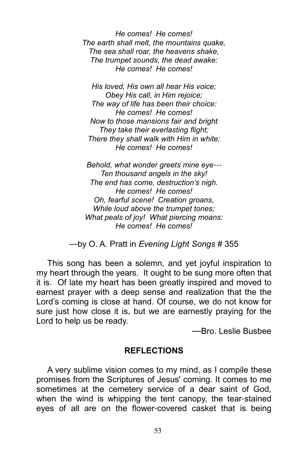He comes! He comes! The earth shall melt, the mountains quake, The sea shall roar, the heavens shake, The trumpet sounds, the dead awake: He comes! He comes!

His loved, His own all hear His voice; Obey His call, in Him rejoice; The way of life has been their choice: He comes! He comes! Now to those mansions fair and bright They take their everlasting flight: There they shall walk with Him in white: He comes! He comes!

Behold, what wonder greets mine eye--- Ten thousand angels in the sky! The end has come, destruction's nigh. He comes! He comes! Oh, fearful scene! Creation groans, While loud above the trumpet tones; What peals of joy! What piercing moans: He comes! He comes!

—by O. A. Pratt in Evening Light Songs # 355

This song has been a solemn, and yet joyful inspiration to my heart through the years. It ought to be sung more often that it is. Of late my heart has been greatly inspired and moved to earnest prayer with a deep sense and realization that the the Lord's coming is close at hand. Of course, we do not know for sure just how close it is, but we are earnestly praying for the Lord to help us be ready.

—Bro. Leslie Busbee

#### REFLECTIONS

A very sublime vision comes to my mind, as I compile these promises from the Scriptures of Jesus' coming. It comes to me sometimes at the cemetery service of a dear saint of God, when the wind is whipping the tent canopy, the tear-stained eyes of all are on the flower-covered casket that is being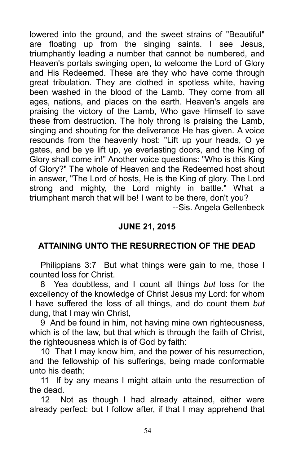lowered into the ground, and the sweet strains of "Beautiful" are floating up from the singing saints. I see Jesus, triumphantly leading a number that cannot be numbered, and Heaven's portals swinging open, to welcome the Lord of Glory and His Redeemed. These are they who have come through great tribulation. They are clothed in spotless white, having been washed in the blood of the Lamb. They come from all ages, nations, and places on the earth. Heaven's angels are praising the victory of the Lamb, Who gave Himself to save these from destruction. The holy throng is praising the Lamb, singing and shouting for the deliverance He has given. A voice resounds from the heavenly host: "Lift up your heads, O ye gates, and be ye lift up, ye everlasting doors, and the King of Glory shall come in!" Another voice questions: "Who is this King of Glory?" The whole of Heaven and the Redeemed host shout in answer, "The Lord of hosts, He is the King of glory. The Lord strong and mighty, the Lord mighty in battle." What a triumphant march that will be! I want to be there, don't you? --Sis. Angela Gellenbeck

## JUNE 21, 2015

## ATTAINING UNTO THE RESURRECTION OF THE DEAD

Philippians 3:7 But what things were gain to me, those I counted loss for Christ.

8 Yea doubtless, and I count all things but loss for the excellency of the knowledge of Christ Jesus my Lord: for whom I have suffered the loss of all things, and do count them but dung, that I may win Christ,

9 And be found in him, not having mine own righteousness, which is of the law, but that which is through the faith of Christ, the righteousness which is of God by faith:

10 That I may know him, and the power of his resurrection, and the fellowship of his sufferings, being made conformable unto his death;

11 If by any means I might attain unto the resurrection of the dead.

12 Not as though I had already attained, either were already perfect: but I follow after, if that I may apprehend that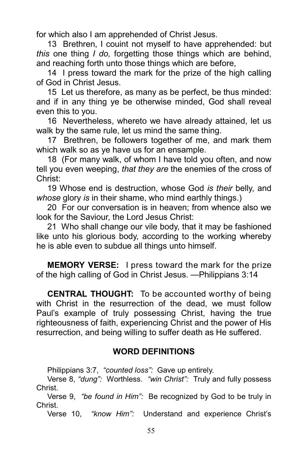for which also I am apprehended of Christ Jesus.

13 Brethren, I couint not myself to have apprehended: but this one thing I do, forgetting those things which are behind. and reaching forth unto those things which are before,

14 I press toward the mark for the prize of the high calling of God in Christ Jesus.

15 Let us therefore, as many as be perfect, be thus minded: and if in any thing ye be otherwise minded, God shall reveal even this to you.

16 Nevertheless, whereto we have already attained, let us walk by the same rule, let us mind the same thing.

17 Brethren, be followers together of me, and mark them which walk so as ye have us for an ensample.

18 (For many walk, of whom I have told you often, and now tell you even weeping, that they are the enemies of the cross of Christ:

19 Whose end is destruction, whose God is their belly, and whose glory is in their shame, who mind earthly things.)

20 For our conversation is in heaven; from whence also we look for the Saviour, the Lord Jesus Christ:

21 Who shall change our vile body, that it may be fashioned like unto his glorious body, according to the working whereby he is able even to subdue all things unto himself.

MEMORY VERSE: I press toward the mark for the prize of the high calling of God in Christ Jesus. —Philippians 3:14

CENTRAL THOUGHT: To be accounted worthy of being with Christ in the resurrection of the dead, we must follow Paul's example of truly possessing Christ, having the true righteousness of faith, experiencing Christ and the power of His resurrection, and being willing to suffer death as He suffered.

## WORD DEFINITIONS

Philippians 3:7, "counted loss": Gave up entirely.

Verse 8, "dung": Worthless. "win Christ": Truly and fully possess Christ.

Verse 9, "be found in Him": Be recognized by God to be truly in Christ.

Verse 10, "know Him": Understand and experience Christ's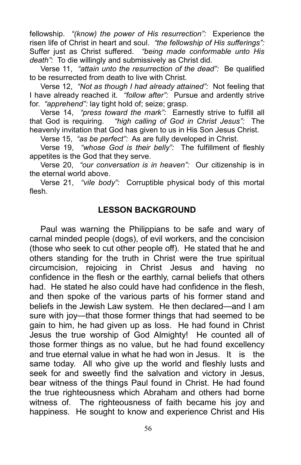fellowship. "(know) the power of His resurrection": Experience the risen life of Christ in heart and soul. "the fellowship of His sufferings": Suffer just as Christ suffered. "being made conformable unto His death": To die willingly and submissively as Christ did.

Verse 11, "attain unto the resurrection of the dead": Be qualified to be resurrected from death to live with Christ.

Verse 12, "Not as though I had already attained": Not feeling that I have already reached it. "follow after": Pursue and ardently strive for. "apprehend": lay tight hold of; seize; grasp.

Verse 14, "press toward the mark": Earnestly strive to fulfill all that God is requiring. "high calling of God in Christ Jesus": The heavenly invitation that God has given to us in His Son Jesus Christ.

Verse 15, "as be perfect": As are fully developed in Christ.

Verse 19, "whose God is their belly": The fulfillment of fleshly appetites is the God that they serve.

Verse 20, "our conversation is in heaven": Our citizenship is in the eternal world above.

Verse 21, "vile body": Corruptible physical body of this mortal flesh.

#### LESSON BACKGROUND

Paul was warning the Philippians to be safe and wary of carnal minded people (dogs), of evil workers, and the concision (those who seek to cut other people off). He stated that he and others standing for the truth in Christ were the true spiritual circumcision, rejoicing in Christ Jesus and having no confidence in the flesh or the earthly, carnal beliefs that others had. He stated he also could have had confidence in the flesh, and then spoke of the various parts of his former stand and beliefs in the Jewish Law system. He then declared—and I am sure with joy—that those former things that had seemed to be gain to him, he had given up as loss. He had found in Christ Jesus the true worship of God Almighty! He counted all of those former things as no value, but he had found excellency and true eternal value in what he had won in Jesus. It is the same today. All who give up the world and fleshly lusts and seek for and sweetly find the salvation and victory in Jesus, bear witness of the things Paul found in Christ. He had found the true righteousness which Abraham and others had borne witness of. The righteousness of faith became his joy and happiness. He sought to know and experience Christ and His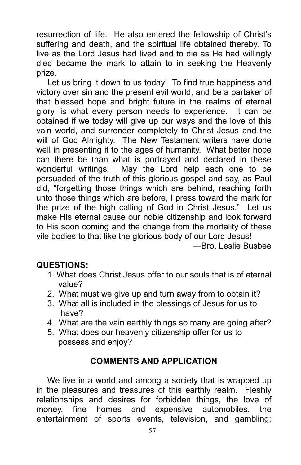resurrection of life. He also entered the fellowship of Christ's suffering and death, and the spiritual life obtained thereby. To live as the Lord Jesus had lived and to die as He had willingly died became the mark to attain to in seeking the Heavenly prize.

Let us bring it down to us today! To find true happiness and victory over sin and the present evil world, and be a partaker of that blessed hope and bright future in the realms of eternal glory, is what every person needs to experience. It can be obtained if we today will give up our ways and the love of this vain world, and surrender completely to Christ Jesus and the will of God Almighty. The New Testament writers have done well in presenting it to the ages of humanity. What better hope can there be than what is portrayed and declared in these wonderful writings! May the Lord help each one to be persuaded of the truth of this glorious gospel and say, as Paul did, "forgetting those things which are behind, reaching forth unto those things which are before, I press toward the mark for the prize of the high calling of God in Christ Jesus." Let us make His eternal cause our noble citizenship and look forward to His soon coming and the change from the mortality of these vile bodies to that like the glorious body of our Lord Jesus! —Bro. Leslie Busbee

## QUESTIONS:

- 1. What does Christ Jesus offer to our souls that is of eternal value?
- 2. What must we give up and turn away from to obtain it?
- 3. What all is included in the blessings of Jesus for us to have?
- 4. What are the vain earthly things so many are going after?
- 5. What does our heavenly citizenship offer for us to possess and enjoy?

# COMMENTS AND APPLICATION

We live in a world and among a society that is wrapped up in the pleasures and treasures of this earthly realm. Fleshly relationships and desires for forbidden things, the love of money, fine homes and expensive automobiles, the entertainment of sports events, television, and gambling;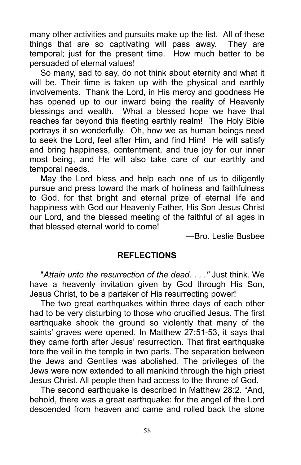many other activities and pursuits make up the list. All of these things that are so captivating will pass away. They are temporal; just for the present time. How much better to be persuaded of eternal values!

So many, sad to say, do not think about eternity and what it will be. Their time is taken up with the physical and earthly involvements. Thank the Lord, in His mercy and goodness He has opened up to our inward being the reality of Heavenly blessings and wealth. What a blessed hope we have that reaches far beyond this fleeting earthly realm! The Holy Bible portrays it so wonderfully. Oh, how we as human beings need to seek the Lord, feel after Him, and find Him! He will satisfy and bring happiness, contentment, and true joy for our inner most being, and He will also take care of our earthly and temporal needs.

May the Lord bless and help each one of us to diligently pursue and press toward the mark of holiness and faithfulness to God, for that bright and eternal prize of eternal life and happiness with God our Heavenly Father, His Son Jesus Christ our Lord, and the blessed meeting of the faithful of all ages in that blessed eternal world to come!

—Bro. Leslie Busbee

#### REFLECTIONS

"Attain unto the resurrection of the dead. . . ." Just think. We have a heavenly invitation given by God through His Son, Jesus Christ, to be a partaker of His resurrecting power!

The two great earthquakes within three days of each other had to be very disturbing to those who crucified Jesus. The first earthquake shook the ground so violently that many of the saints' graves were opened. In Matthew 27:51-53, it says that they came forth after Jesus' resurrection. That first earthquake tore the veil in the temple in two parts. The separation between the Jews and Gentiles was abolished. The privileges of the Jews were now extended to all mankind through the high priest Jesus Christ. All people then had access to the throne of God.

The second earthquake is described in Matthew 28:2. "And, behold, there was a great earthquake: for the angel of the Lord descended from heaven and came and rolled back the stone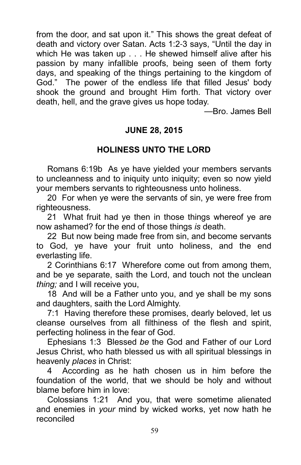from the door, and sat upon it." This shows the great defeat of death and victory over Satan. Acts 1:2-3 says, "Until the day in which He was taken up . . . He shewed himself alive after his passion by many infallible proofs, being seen of them forty days, and speaking of the things pertaining to the kingdom of God." The power of the endless life that filled Jesus' body shook the ground and brought Him forth. That victory over death, hell, and the grave gives us hope today.

—Bro. James Bell

#### JUNE 28, 2015

#### HOLINESS UNTO THE LORD

Romans 6:19b As ye have yielded your members servants to uncleanness and to iniquity unto iniquity; even so now yield your members servants to righteousness unto holiness.

20 For when ye were the servants of sin, ye were free from righteousness.

21 What fruit had ye then in those things whereof ye are now ashamed? for the end of those things is death.

22 But now being made free from sin, and become servants to God, ye have your fruit unto holiness, and the end everlasting life.

2 Corinthians 6:17 Wherefore come out from among them, and be ye separate, saith the Lord, and touch not the unclean thing; and I will receive you,

18 And will be a Father unto you, and ye shall be my sons and daughters, saith the Lord Almighty.

7:1 Having therefore these promises, dearly beloved, let us cleanse ourselves from all filthiness of the flesh and spirit, perfecting holiness in the fear of God.

Ephesians 1:3 Blessed be the God and Father of our Lord Jesus Christ, who hath blessed us with all spiritual blessings in heavenly places in Christ:

4 According as he hath chosen us in him before the foundation of the world, that we should be holy and without blame before him in love:

Colossians 1:21 And you, that were sometime alienated and enemies in your mind by wicked works, yet now hath he reconciled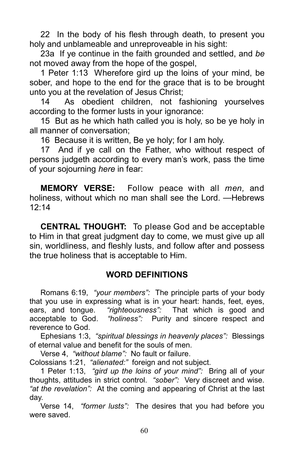22 In the body of his flesh through death, to present you holy and unblameable and unreproveable in his sight:

23a If ye continue in the faith grounded and settled, and be not moved away from the hope of the gospel,

1 Peter 1:13 Wherefore gird up the loins of your mind, be sober, and hope to the end for the grace that is to be brought unto you at the revelation of Jesus Christ;

14 As obedient children, not fashioning yourselves according to the former lusts in your ignorance:

15 But as he which hath called you is holy, so be ye holy in all manner of conversation;

16 Because it is written, Be ye holy; for I am holy.

17 And if ye call on the Father, who without respect of persons judgeth according to every man's work, pass the time of your sojourning here in fear:

**MEMORY VERSE:** Follow peace with all *men*, and holiness, without which no man shall see the Lord. —Hebrews  $12.14$ 

CENTRAL THOUGHT: To please God and be acceptable to Him in that great judgment day to come, we must give up all sin, worldliness, and fleshly lusts, and follow after and possess the true holiness that is acceptable to Him.

## WORD DEFINITIONS

Romans 6:19, "your members": The principle parts of your body that you use in expressing what is in your heart: hands, feet, eyes, ears, and tongue. "righteousness": That which is good and acceptable to God. "holiness": Purity and sincere respect and reverence to God.

Ephesians 1:3, "spiritual blessings in heavenly places": Blessings of eternal value and benefit for the souls of men.

Verse 4, "without blame": No fault or failure.

Colossians 1:21, "alienated:" foreign and not subject.

1 Peter 1:13, "gird up the loins of your mind": Bring all of your thoughts, attitudes in strict control. "sober": Very discreet and wise. "at the revelation": At the coming and appearing of Christ at the last day.

Verse 14, "former lusts": The desires that you had before you were saved.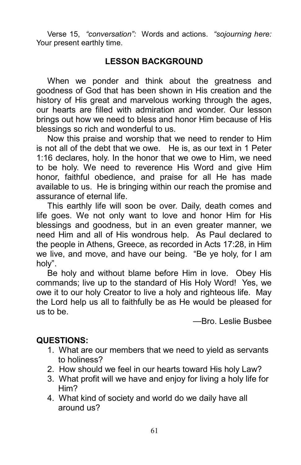Verse 15, "conversation": Words and actions. "sojourning here: Your present earthly time.

# LESSON BACKGROUND

When we ponder and think about the greatness and goodness of God that has been shown in His creation and the history of His great and marvelous working through the ages, our hearts are filled with admiration and wonder. Our lesson brings out how we need to bless and honor Him because of His blessings so rich and wonderful to us.

Now this praise and worship that we need to render to Him is not all of the debt that we owe. He is, as our text in 1 Peter 1:16 declares, holy. In the honor that we owe to Him, we need to be holy. We need to reverence His Word and give Him honor, faithful obedience, and praise for all He has made available to us. He is bringing within our reach the promise and assurance of eternal life.

This earthly life will soon be over. Daily, death comes and life goes. We not only want to love and honor Him for His blessings and goodness, but in an even greater manner, we need Him and all of His wondrous help. As Paul declared to the people in Athens, Greece, as recorded in Acts 17:28, in Him we live, and move, and have our being. "Be ye holy, for I am holy".

Be holy and without blame before Him in love. Obey His commands; live up to the standard of His Holy Word! Yes, we owe it to our holy Creator to live a holy and righteous life. May the Lord help us all to faithfully be as He would be pleased for us to be.

—Bro. Leslie Busbee

#### QUESTIONS:

- 1. What are our members that we need to yield as servants to holiness?
- 2. How should we feel in our hearts toward His holy Law?
- 3. What profit will we have and enjoy for living a holy life for Him?
- 4. What kind of society and world do we daily have all around us?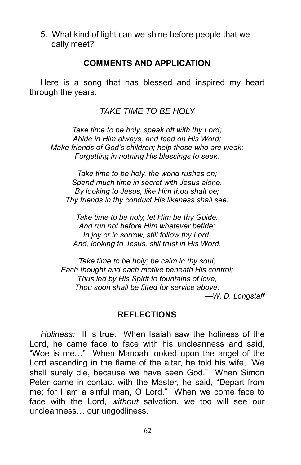5. What kind of light can we shine before people that we daily meet?

#### COMMENTS AND APPLICATION

Here is a song that has blessed and inspired my heart through the years:

TAKE TIME TO BE HOLY

Take time to be holy, speak oft with thy Lord; Abide in Him always, and feed on His Word; Make friends of God's children; help those who are weak; Forgetting in nothing His blessings to seek.

Take time to be holy, the world rushes on; Spend much time in secret with Jesus alone. By looking to Jesus, like Him thou shalt be; Thy friends in thy conduct His likeness shall see.

Take time to be holy, let Him be thy Guide. And run not before Him whatever betide; In joy or in sorrow, still follow thy Lord, And, looking to Jesus, still trust in His Word.

Take time to be holy; be calm in thy soul; Each thought and each motive beneath His control; Thus led by His Spirit to fountains of love, Thou soon shall be fitted for service above.

—W. D. Longstaff

#### REFLECTIONS

Holiness: It is true. When Isaiah saw the holiness of the Lord, he came face to face with his uncleanness and said, "Woe is me..." When Manoah looked upon the angel of the Lord ascending in the flame of the altar, he told his wife, "We shall surely die, because we have seen God." When Simon Peter came in contact with the Master, he said, "Depart from me; for I am a sinful man, O Lord." When we come face to face with the Lord, without salvation, we too will see our uncleanness....our ungodliness.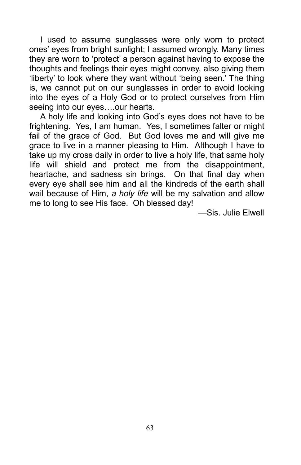I used to assume sunglasses were only worn to protect ones' eyes from bright sunlight; I assumed wrongly. Many times they are worn to 'protect' a person against having to expose the thoughts and feelings their eyes might convey, also giving them 'liberty' to look where they want without 'being seen.' The thing is, we cannot put on our sunglasses in order to avoid looking into the eyes of a Holy God or to protect ourselves from Him seeing into our eyes....our hearts.

A holy life and looking into God's eyes does not have to be frightening. Yes, I am human. Yes, I sometimes falter or might fail of the grace of God. But God loves me and will give me grace to live in a manner pleasing to Him. Although I have to take up my cross daily in order to live a holy life, that same holy life will shield and protect me from the disappointment, heartache, and sadness sin brings. On that final day when every eye shall see him and all the kindreds of the earth shall wail because of Him, a holy life will be my salvation and allow me to long to see His face. Oh blessed day!

—Sis. Julie Elwell